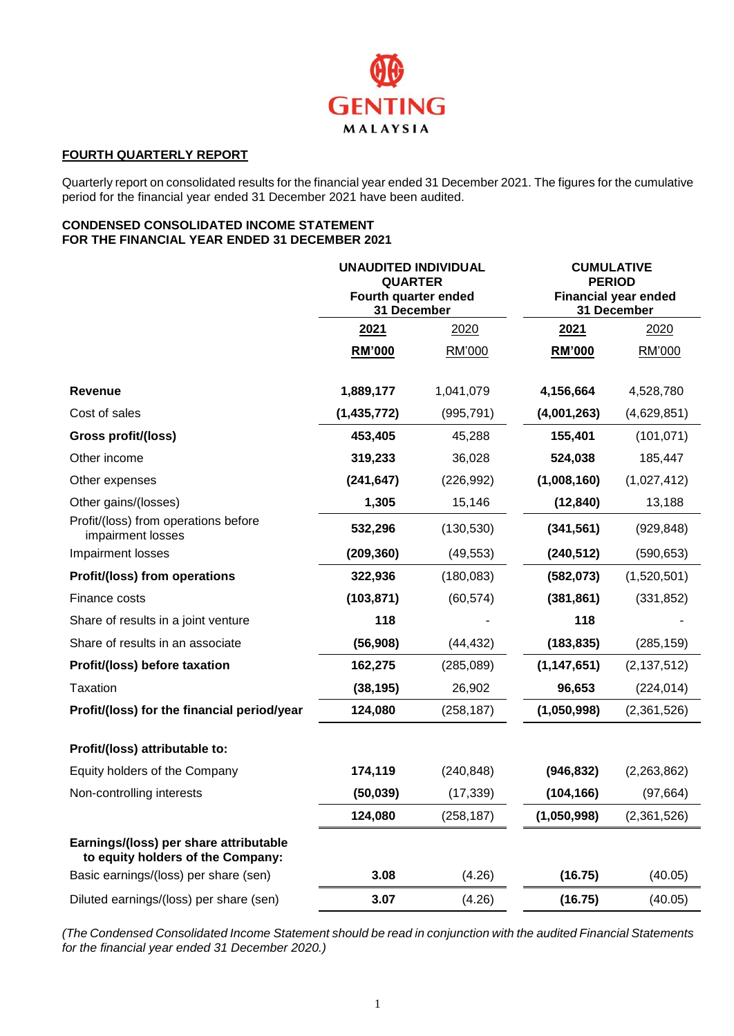

## **FOURTH QUARTERLY REPORT**

Quarterly report on consolidated results for the financial year ended 31 December 2021. The figures for the cumulative period for the financial year ended 31 December 2021 have been audited.

## **CONDENSED CONSOLIDATED INCOME STATEMENT FOR THE FINANCIAL YEAR ENDED 31 DECEMBER 2021**

|                                                                             | <b>UNAUDITED INDIVIDUAL</b><br><b>QUARTER</b><br>Fourth quarter ended<br>31 December |            |               | <b>CUMULATIVE</b><br><b>PERIOD</b><br><b>Financial year ended</b><br>31 December |  |  |
|-----------------------------------------------------------------------------|--------------------------------------------------------------------------------------|------------|---------------|----------------------------------------------------------------------------------|--|--|
|                                                                             | 2021                                                                                 | 2020       | 2021          | 2020                                                                             |  |  |
|                                                                             | <b>RM'000</b>                                                                        | RM'000     | <b>RM'000</b> | RM'000                                                                           |  |  |
| <b>Revenue</b>                                                              | 1,889,177                                                                            | 1,041,079  | 4,156,664     | 4,528,780                                                                        |  |  |
| Cost of sales                                                               | (1,435,772)                                                                          | (995, 791) | (4,001,263)   | (4,629,851)                                                                      |  |  |
| Gross profit/(loss)                                                         | 453,405                                                                              | 45,288     | 155,401       | (101, 071)                                                                       |  |  |
| Other income                                                                | 319,233                                                                              | 36,028     | 524,038       | 185,447                                                                          |  |  |
| Other expenses                                                              | (241, 647)                                                                           | (226, 992) | (1,008,160)   | (1,027,412)                                                                      |  |  |
| Other gains/(losses)                                                        | 1,305                                                                                | 15,146     | (12, 840)     | 13,188                                                                           |  |  |
| Profit/(loss) from operations before<br>impairment losses                   | 532,296                                                                              | (130, 530) | (341, 561)    | (929, 848)                                                                       |  |  |
| Impairment losses                                                           | (209, 360)                                                                           | (49, 553)  | (240, 512)    | (590, 653)                                                                       |  |  |
| Profit/(loss) from operations                                               | 322,936                                                                              | (180, 083) | (582,073)     | (1,520,501)                                                                      |  |  |
| Finance costs                                                               | (103, 871)                                                                           | (60, 574)  | (381, 861)    | (331, 852)                                                                       |  |  |
| Share of results in a joint venture                                         | 118                                                                                  |            | 118           |                                                                                  |  |  |
| Share of results in an associate                                            | (56, 908)                                                                            | (44, 432)  | (183, 835)    | (285, 159)                                                                       |  |  |
| Profit/(loss) before taxation                                               | 162,275                                                                              | (285, 089) | (1, 147, 651) | (2, 137, 512)                                                                    |  |  |
| Taxation                                                                    | (38, 195)                                                                            | 26,902     | 96,653        | (224, 014)                                                                       |  |  |
| Profit/(loss) for the financial period/year                                 | 124,080                                                                              | (258, 187) | (1,050,998)   | (2,361,526)                                                                      |  |  |
| Profit/(loss) attributable to:                                              |                                                                                      |            |               |                                                                                  |  |  |
| Equity holders of the Company                                               | 174,119                                                                              | (240, 848) | (946, 832)    | (2, 263, 862)                                                                    |  |  |
| Non-controlling interests                                                   | (50, 039)                                                                            | (17, 339)  | (104, 166)    | (97, 664)                                                                        |  |  |
|                                                                             | 124,080                                                                              | (258, 187) | (1,050,998)   | (2,361,526)                                                                      |  |  |
| Earnings/(loss) per share attributable<br>to equity holders of the Company: |                                                                                      |            |               |                                                                                  |  |  |
| Basic earnings/(loss) per share (sen)                                       | 3.08                                                                                 | (4.26)     | (16.75)       | (40.05)                                                                          |  |  |
| Diluted earnings/(loss) per share (sen)                                     | 3.07                                                                                 | (4.26)     | (16.75)       | (40.05)                                                                          |  |  |

*(The Condensed Consolidated Income Statement should be read in conjunction with the audited Financial Statements for the financial year ended 31 December 2020.)*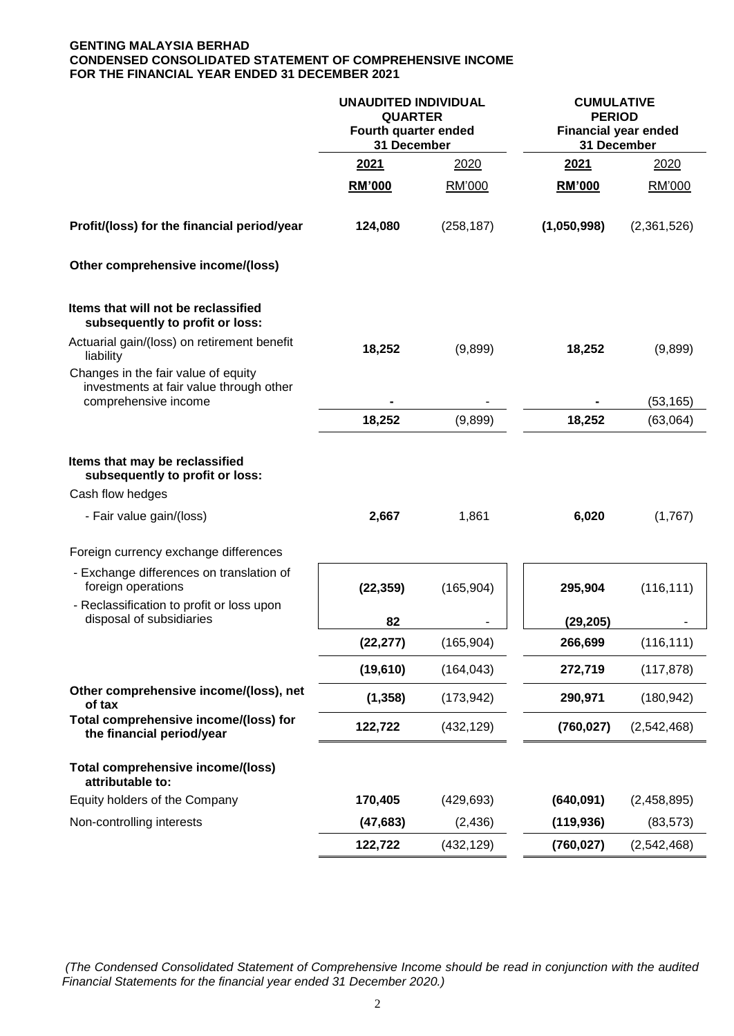## **GENTING MALAYSIA BERHAD CONDENSED CONSOLIDATED STATEMENT OF COMPREHENSIVE INCOME FOR THE FINANCIAL YEAR ENDED 31 DECEMBER 2021**

|                                                                                                                   | <b>UNAUDITED INDIVIDUAL</b><br><b>QUARTER</b><br>Fourth quarter ended<br>31 December |            | <b>CUMULATIVE</b><br><b>PERIOD</b><br><b>Financial year ended</b><br>31 December |             |
|-------------------------------------------------------------------------------------------------------------------|--------------------------------------------------------------------------------------|------------|----------------------------------------------------------------------------------|-------------|
|                                                                                                                   | 2021                                                                                 | 2020       | 2021                                                                             | 2020        |
|                                                                                                                   | RM'000                                                                               | RM'000     | RM'000                                                                           | RM'000      |
| Profit/(loss) for the financial period/year                                                                       | 124,080                                                                              | (258, 187) | (1,050,998)                                                                      | (2,361,526) |
| Other comprehensive income/(loss)                                                                                 |                                                                                      |            |                                                                                  |             |
| Items that will not be reclassified<br>subsequently to profit or loss:                                            |                                                                                      |            |                                                                                  |             |
| Actuarial gain/(loss) on retirement benefit<br>liability                                                          | 18,252                                                                               | (9,899)    | 18,252                                                                           | (9,899)     |
| Changes in the fair value of equity<br>investments at fair value through other<br>comprehensive income            |                                                                                      |            |                                                                                  | (53, 165)   |
|                                                                                                                   | 18,252                                                                               | (9,899)    | 18,252                                                                           | (63,064)    |
|                                                                                                                   |                                                                                      |            |                                                                                  |             |
| Items that may be reclassified<br>subsequently to profit or loss:<br>Cash flow hedges<br>- Fair value gain/(loss) | 2,667                                                                                | 1,861      | 6,020                                                                            | (1,767)     |
|                                                                                                                   |                                                                                      |            |                                                                                  |             |
| Foreign currency exchange differences                                                                             |                                                                                      |            |                                                                                  |             |
| - Exchange differences on translation of<br>foreign operations<br>- Reclassification to profit or loss upon       | (22, 359)                                                                            | (165, 904) | 295,904                                                                          | (116, 111)  |
| disposal of subsidiaries                                                                                          | 82                                                                                   |            | (29,205)                                                                         |             |
|                                                                                                                   | (22, 277)                                                                            | (165, 904) | 266,699                                                                          | (116, 111)  |
|                                                                                                                   | (19,610)                                                                             | (164, 043) | 272,719                                                                          | (117, 878)  |
| Other comprehensive income/(loss), net<br>of tax                                                                  | (1, 358)                                                                             | (173, 942) | 290,971                                                                          | (180, 942)  |
| Total comprehensive income/(loss) for<br>the financial period/year                                                | 122,722                                                                              | (432, 129) | (760, 027)                                                                       | (2,542,468) |
| Total comprehensive income/(loss)<br>attributable to:                                                             |                                                                                      |            |                                                                                  |             |
| Equity holders of the Company                                                                                     | 170,405                                                                              | (429, 693) | (640, 091)                                                                       | (2,458,895) |
| Non-controlling interests                                                                                         | (47, 683)                                                                            | (2, 436)   | (119, 936)                                                                       | (83, 573)   |
|                                                                                                                   | 122,722                                                                              | (432, 129) | (760, 027)                                                                       | (2,542,468) |

*(The Condensed Consolidated Statement of Comprehensive Income should be read in conjunction with the audited Financial Statements for the financial year ended 31 December 2020.)*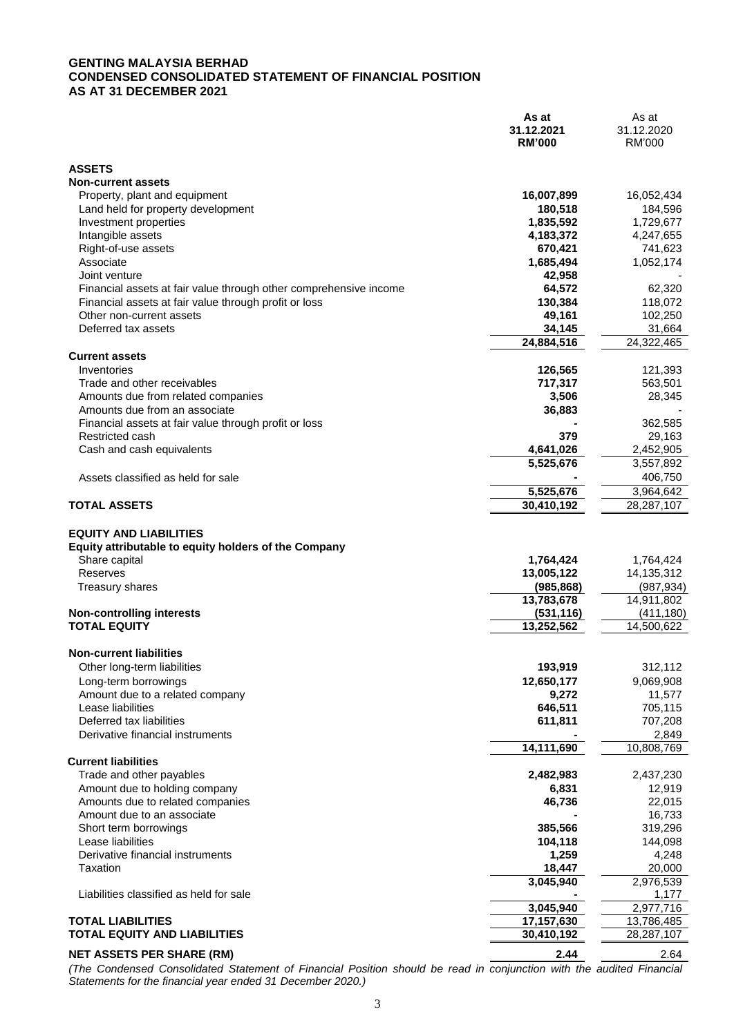#### **GENTING MALAYSIA BERHAD CONDENSED CONSOLIDATED STATEMENT OF FINANCIAL POSITION AS AT 31 DECEMBER 2021**

|                                                                                                                                       | As at<br>31.12.2021<br><b>RM'000</b>  | As at<br>31.12.2020<br><b>RM'000</b>  |
|---------------------------------------------------------------------------------------------------------------------------------------|---------------------------------------|---------------------------------------|
| <b>ASSETS</b>                                                                                                                         |                                       |                                       |
| <b>Non-current assets</b>                                                                                                             |                                       |                                       |
| Property, plant and equipment                                                                                                         | 16,007,899                            | 16,052,434                            |
| Land held for property development                                                                                                    | 180,518                               | 184,596                               |
| Investment properties                                                                                                                 | 1,835,592                             | 1,729,677                             |
| Intangible assets                                                                                                                     | 4,183,372                             | 4,247,655                             |
| Right-of-use assets<br>Associate                                                                                                      | 670,421<br>1,685,494                  | 741,623<br>1,052,174                  |
| Joint venture                                                                                                                         | 42,958                                |                                       |
| Financial assets at fair value through other comprehensive income                                                                     | 64,572                                | 62,320                                |
| Financial assets at fair value through profit or loss                                                                                 | 130,384                               | 118,072                               |
| Other non-current assets                                                                                                              | 49,161                                | 102,250                               |
| Deferred tax assets                                                                                                                   | 34,145                                | 31,664                                |
|                                                                                                                                       | 24,884,516                            | 24,322,465                            |
| <b>Current assets</b>                                                                                                                 |                                       |                                       |
| Inventories<br>Trade and other receivables                                                                                            | 126,565                               | 121,393                               |
| Amounts due from related companies                                                                                                    | 717,317<br>3,506                      | 563,501<br>28,345                     |
| Amounts due from an associate                                                                                                         | 36,883                                |                                       |
| Financial assets at fair value through profit or loss                                                                                 |                                       | 362,585                               |
| Restricted cash                                                                                                                       | 379                                   | 29,163                                |
| Cash and cash equivalents                                                                                                             | 4,641,026                             | 2,452,905                             |
|                                                                                                                                       | 5,525,676                             | 3,557,892                             |
| Assets classified as held for sale                                                                                                    |                                       | 406,750                               |
|                                                                                                                                       | 5,525,676                             | 3,964,642                             |
| <b>TOTAL ASSETS</b>                                                                                                                   | 30,410,192                            | 28,287,107                            |
| <b>EQUITY AND LIABILITIES</b><br>Equity attributable to equity holders of the Company<br>Share capital<br>Reserves<br>Treasury shares | 1,764,424<br>13,005,122<br>(985, 868) | 1,764,424<br>14,135,312<br>(987, 934) |
| <b>Non-controlling interests</b>                                                                                                      | 13,783,678<br>(531, 116)              | 14,911,802<br>(411, 180)              |
| <b>TOTAL EQUITY</b>                                                                                                                   | 13,252,562                            | 14,500,622                            |
|                                                                                                                                       |                                       |                                       |
| <b>Non-current liabilities</b>                                                                                                        |                                       |                                       |
| Other long-term liabilities                                                                                                           | 193,919                               | 312,112                               |
| Long-term borrowings                                                                                                                  | 12,650,177                            | 9,069,908                             |
| Amount due to a related company                                                                                                       | 9,272                                 | 11,577                                |
| Lease liabilities<br>Deferred tax liabilities                                                                                         | 646,511                               | 705,115                               |
| Derivative financial instruments                                                                                                      | 611,811                               | 707,208<br>2,849                      |
|                                                                                                                                       | 14,111,690                            | 10,808,769                            |
| <b>Current liabilities</b>                                                                                                            |                                       |                                       |
| Trade and other payables                                                                                                              | 2,482,983                             | 2,437,230                             |
| Amount due to holding company                                                                                                         | 6,831                                 | 12,919                                |
| Amounts due to related companies                                                                                                      | 46,736                                | 22,015                                |
| Amount due to an associate                                                                                                            |                                       | 16,733                                |
| Short term borrowings<br>Lease liabilities                                                                                            | 385,566<br>104,118                    | 319,296<br>144,098                    |
| Derivative financial instruments                                                                                                      | 1,259                                 | 4,248                                 |
| Taxation                                                                                                                              | 18,447                                | 20,000                                |
|                                                                                                                                       | 3,045,940                             | 2,976,539                             |
| Liabilities classified as held for sale                                                                                               |                                       | 1,177                                 |
|                                                                                                                                       | 3,045,940                             | 2,977,716                             |
| <b>TOTAL LIABILITIES</b>                                                                                                              | 17,157,630                            | 13,786,485                            |
| <b>TOTAL EQUITY AND LIABILITIES</b>                                                                                                   | 30,410,192                            | 28,287,107                            |
| <b>NET ASSETS PER SHARE (RM)</b>                                                                                                      | 2.44                                  | 2.64                                  |

*(The Condensed Consolidated Statement of Financial Position should be read in conjunction with the audited Financial Statements for the financial year ended 31 December 2020.)*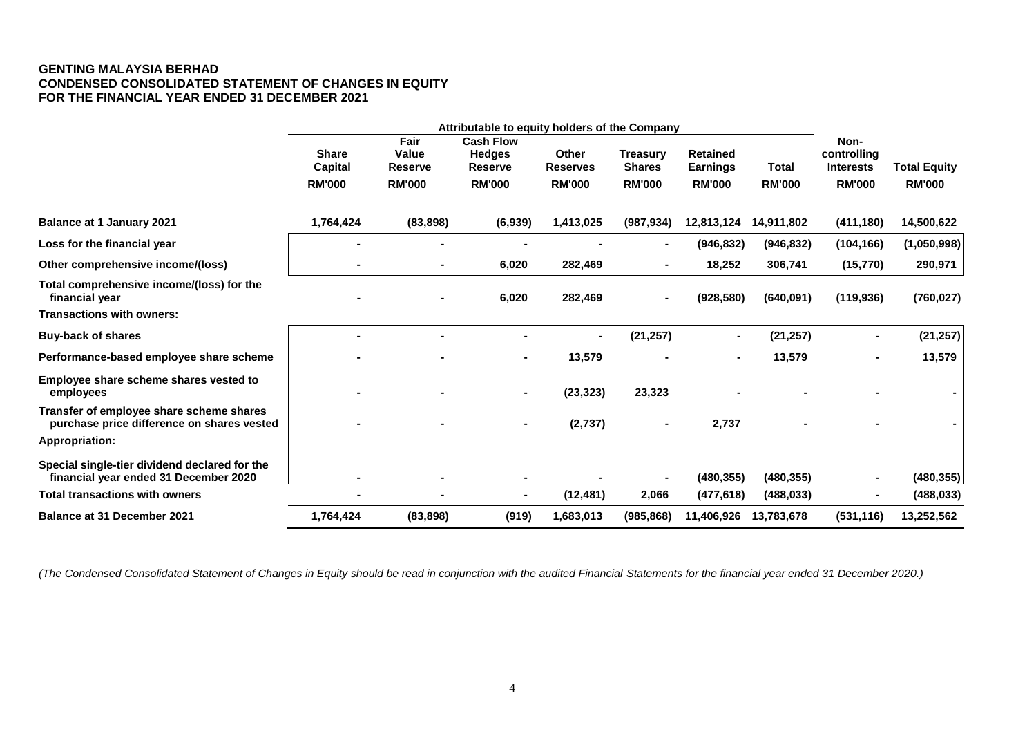#### **GENTING MALAYSIA BERHAD CONDENSED CONSOLIDATED STATEMENT OF CHANGES IN EQUITY FOR THE FINANCIAL YEAR ENDED 31 DECEMBER 2021**

|                                                                                        |                         | Attributable to equity holders of the Company |                                                                                 |                |                                                                        |               |               |                                         |                     |
|----------------------------------------------------------------------------------------|-------------------------|-----------------------------------------------|---------------------------------------------------------------------------------|----------------|------------------------------------------------------------------------|---------------|---------------|-----------------------------------------|---------------------|
|                                                                                        | <b>Share</b><br>Capital | Fair<br>Value<br><b>Reserve</b>               | <b>Cash Flow</b><br><b>Hedges</b><br>Other<br><b>Reserves</b><br><b>Reserve</b> |                | <b>Treasury</b><br><b>Retained</b><br><b>Shares</b><br><b>Earnings</b> |               | <b>Total</b>  | Non-<br>controlling<br><b>Interests</b> | <b>Total Equity</b> |
|                                                                                        | <b>RM'000</b>           | <b>RM'000</b>                                 | <b>RM'000</b>                                                                   | <b>RM'000</b>  | <b>RM'000</b>                                                          | <b>RM'000</b> | <b>RM'000</b> | <b>RM'000</b>                           | <b>RM'000</b>       |
| <b>Balance at 1 January 2021</b>                                                       | 1,764,424               | (83, 898)                                     | (6,939)                                                                         | 1,413,025      | (987, 934)                                                             | 12,813,124    | 14,911,802    | (411, 180)                              | 14,500,622          |
| Loss for the financial year                                                            |                         |                                               |                                                                                 |                |                                                                        | (946, 832)    | (946, 832)    | (104, 166)                              | (1,050,998)         |
| Other comprehensive income/(loss)                                                      |                         |                                               | 6,020                                                                           | 282,469        |                                                                        | 18,252        | 306,741       | (15, 770)                               | 290,971             |
| Total comprehensive income/(loss) for the<br>financial year                            |                         |                                               | 6,020                                                                           | 282,469        |                                                                        | (928, 580)    | (640,091)     | (119, 936)                              | (760, 027)          |
| <b>Transactions with owners:</b>                                                       |                         |                                               |                                                                                 |                |                                                                        |               |               |                                         |                     |
| <b>Buy-back of shares</b>                                                              |                         |                                               |                                                                                 | $\blacksquare$ | (21, 257)                                                              |               | (21, 257)     |                                         | (21, 257)           |
| Performance-based employee share scheme                                                |                         |                                               | $\blacksquare$                                                                  | 13,579         |                                                                        |               | 13,579        |                                         | 13,579              |
| Employee share scheme shares vested to<br>employees                                    |                         |                                               | $\blacksquare$                                                                  | (23, 323)      | 23,323                                                                 |               |               |                                         |                     |
| Transfer of employee share scheme shares<br>purchase price difference on shares vested |                         |                                               | $\blacksquare$                                                                  | (2,737)        |                                                                        | 2,737         |               |                                         |                     |
| <b>Appropriation:</b>                                                                  |                         |                                               |                                                                                 |                |                                                                        |               |               |                                         |                     |
| Special single-tier dividend declared for the<br>financial year ended 31 December 2020 |                         |                                               |                                                                                 |                |                                                                        | (480, 355)    | (480, 355)    |                                         | (480, 355)          |
| <b>Total transactions with owners</b>                                                  |                         |                                               |                                                                                 | (12, 481)      | 2,066                                                                  | (477, 618)    | (488, 033)    |                                         | (488, 033)          |
| <b>Balance at 31 December 2021</b>                                                     | 1,764,424               | (83, 898)                                     | (919)                                                                           | 1,683,013      | (985, 868)                                                             | 11,406,926    | 13,783,678    | (531, 116)                              | 13,252,562          |

*(The Condensed Consolidated Statement of Changes in Equity should be read in conjunction with the audited Financial Statements for the financial year ended 31 December 2020.)*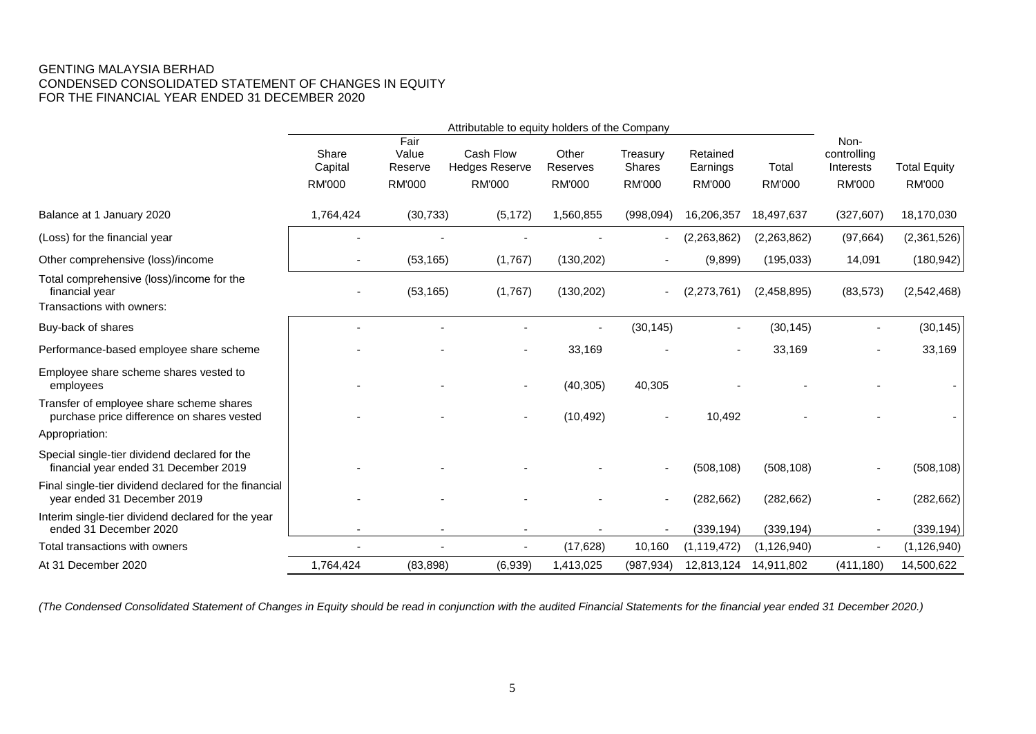## GENTING MALAYSIA BERHAD CONDENSED CONSOLIDATED STATEMENT OF CHANGES IN EQUITY FOR THE FINANCIAL YEAR ENDED 31 DECEMBER 2020

|                                                                                          | Attributable to equity holders of the Company |                          |                                    |                   |                    |                      |               |                                  |                     |
|------------------------------------------------------------------------------------------|-----------------------------------------------|--------------------------|------------------------------------|-------------------|--------------------|----------------------|---------------|----------------------------------|---------------------|
|                                                                                          | Share<br>Capital                              | Fair<br>Value<br>Reserve | Cash Flow<br><b>Hedges Reserve</b> | Other<br>Reserves | Treasury<br>Shares | Retained<br>Earnings | Total         | Non-<br>controlling<br>Interests | <b>Total Equity</b> |
|                                                                                          | <b>RM'000</b>                                 | <b>RM'000</b>            | <b>RM'000</b>                      | <b>RM'000</b>     | <b>RM'000</b>      | <b>RM'000</b>        | <b>RM'000</b> | <b>RM'000</b>                    | <b>RM'000</b>       |
| Balance at 1 January 2020                                                                | 1,764,424                                     | (30, 733)                | (5, 172)                           | 1,560,855         | (998,094)          | 16,206,357           | 18,497,637    | (327, 607)                       | 18,170,030          |
| (Loss) for the financial year                                                            |                                               |                          |                                    |                   |                    | (2,263,862)          | (2,263,862)   | (97, 664)                        | (2,361,526)         |
| Other comprehensive (loss)/income                                                        |                                               | (53, 165)                | (1,767)                            | (130, 202)        |                    | (9,899)              | (195, 033)    | 14,091                           | (180, 942)          |
| Total comprehensive (loss)/income for the<br>financial year<br>Transactions with owners: |                                               | (53, 165)                | (1,767)                            | (130, 202)        |                    | (2,273,761)          | (2,458,895)   | (83, 573)                        | (2,542,468)         |
| Buy-back of shares                                                                       |                                               |                          |                                    |                   | (30, 145)          |                      | (30, 145)     |                                  | (30, 145)           |
| Performance-based employee share scheme                                                  |                                               |                          |                                    | 33,169            |                    |                      | 33,169        |                                  | 33,169              |
| Employee share scheme shares vested to<br>employees                                      |                                               |                          | ٠                                  | (40, 305)         | 40,305             |                      |               |                                  |                     |
| Transfer of employee share scheme shares<br>purchase price difference on shares vested   |                                               |                          |                                    | (10, 492)         |                    | 10,492               |               |                                  |                     |
| Appropriation:                                                                           |                                               |                          |                                    |                   |                    |                      |               |                                  |                     |
| Special single-tier dividend declared for the<br>financial year ended 31 December 2019   |                                               |                          |                                    |                   |                    | (508, 108)           | (508, 108)    |                                  | (508, 108)          |
| Final single-tier dividend declared for the financial<br>year ended 31 December 2019     |                                               |                          |                                    |                   |                    | (282, 662)           | (282, 662)    |                                  | (282, 662)          |
| Interim single-tier dividend declared for the year<br>ended 31 December 2020             |                                               |                          |                                    |                   |                    | (339, 194)           | (339, 194)    |                                  | (339, 194)          |
| Total transactions with owners                                                           |                                               |                          | $\blacksquare$                     | (17, 628)         | 10,160             | (1, 119, 472)        | (1, 126, 940) |                                  | (1, 126, 940)       |
| At 31 December 2020                                                                      | 1,764,424                                     | (83, 898)                | (6,939)                            | 1,413,025         | (987, 934)         | 12,813,124           | 14,911,802    | (411, 180)                       | 14,500,622          |

*(The Condensed Consolidated Statement of Changes in Equity should be read in conjunction with the audited Financial Statements for the financial year ended 31 December 2020.)*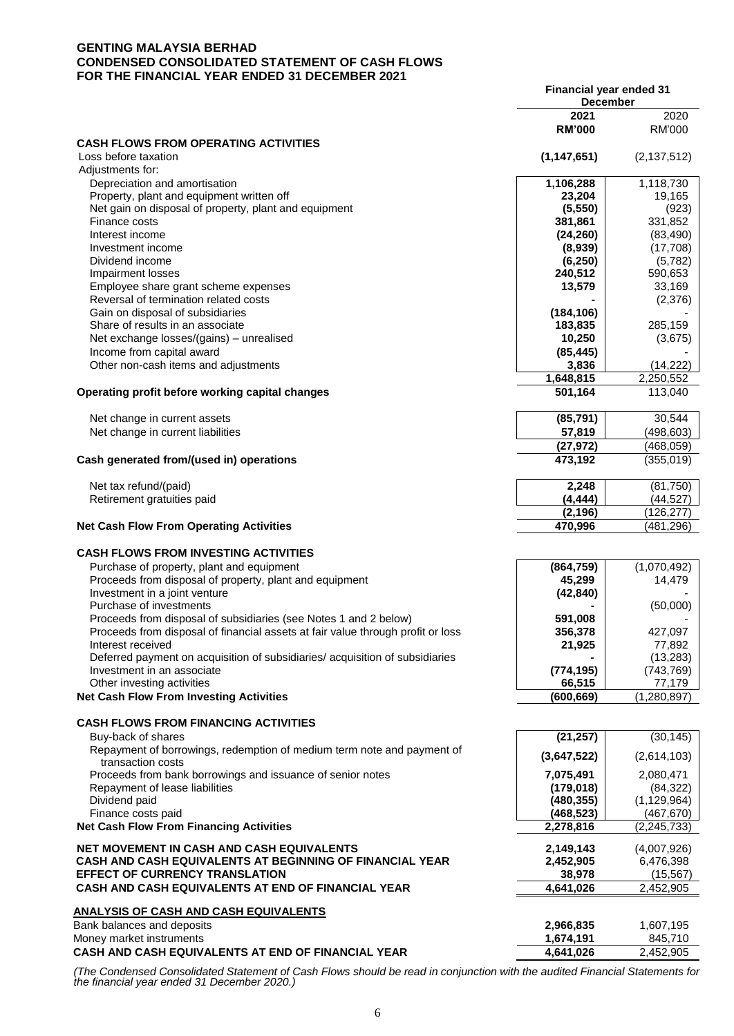#### **GENTING MALAYSIA BERHAD CONDENSED CONSOLIDATED STATEMENT OF CASH FLOWS FOR THE FINANCIAL YEAR ENDED 31 DECEMBER 2021**

| 2021<br>2020<br><b>RM'000</b><br>RM'000<br><b>CASH FLOWS FROM OPERATING ACTIVITIES</b><br>Loss before taxation<br>(1, 147, 651)<br>(2, 137, 512)<br>Adjustments for:<br>1,118,730<br>1,106,288<br>Depreciation and amortisation<br>Property, plant and equipment written off<br>23,204<br>19,165<br>Net gain on disposal of property, plant and equipment<br>(5, 550)<br>(923)<br>331,852<br>Finance costs<br>381,861<br>Interest income<br>(24, 260)<br>(83, 490)<br>(8,939)<br>(17,708)<br>Investment income<br>Dividend income<br>(6, 250)<br>(5,782)<br><b>Impairment losses</b><br>240,512<br>590,653<br>Employee share grant scheme expenses<br>13,579<br>33,169<br>(2,376)<br>Reversal of termination related costs<br>Gain on disposal of subsidiaries<br>(184, 106)<br>Share of results in an associate<br>183,835<br>285,159<br>Net exchange losses/(gains) – unrealised<br>10,250<br>(3,675)<br>Income from capital award<br>(85, 445)<br>Other non-cash items and adjustments<br>3,836<br>(14, 222)<br>1,648,815<br>2,250,552<br>Operating profit before working capital changes<br>501,164<br>113,040<br>30,544<br>(85, 791)<br>Net change in current assets<br>Net change in current liabilities<br>57,819<br>(498, 603)<br>(27, 972)<br>(468, 059)<br>Cash generated from/(used in) operations<br>473,192<br>(355,019)<br>2,248<br>(81, 750)<br>Net tax refund/(paid)<br>Retirement gratuities paid<br>(4, 444)<br>(44, 527)<br>(2, 196)<br>(126, 277)<br><b>Net Cash Flow From Operating Activities</b><br>470,996<br>(481,296)<br><b>CASH FLOWS FROM INVESTING ACTIVITIES</b><br>(864, 759)<br>(1,070,492)<br>Purchase of property, plant and equipment<br>Proceeds from disposal of property, plant and equipment<br>45,299<br>14,479<br>Investment in a joint venture<br>(42, 840)<br>Purchase of investments<br>(50,000)<br>Proceeds from disposal of subsidiaries (see Notes 1 and 2 below)<br>591,008<br>Proceeds from disposal of financial assets at fair value through profit or loss<br>356,378<br>427,097<br>77,892<br>21,925<br>Interest received<br>(13, 283)<br>Deferred payment on acquisition of subsidiaries/acquisition of subsidiaries<br>(774, 195)<br>Investment in an associate<br>(743, 769)<br>77,179<br>Other investing activities<br>66,515<br><b>Net Cash Flow From Investing Activities</b><br>(1, 280, 897)<br>(600,669)<br><b>CASH FLOWS FROM FINANCING ACTIVITIES</b><br>(21, 257)<br>(30, 145)<br>Buy-back of shares<br>Repayment of borrowings, redemption of medium term note and payment of<br>(3,647,522)<br>(2,614,103)<br>transaction costs<br>Proceeds from bank borrowings and issuance of senior notes<br>7,075,491<br>2,080,471<br>(179, 018)<br>(84, 322)<br>Repayment of lease liabilities<br>Dividend paid<br>(480, 355)<br>(1, 129, 964)<br>Finance costs paid<br>(468, 523)<br>(467,670)<br><b>Net Cash Flow From Financing Activities</b><br>2,278,816<br>(2, 245, 733)<br>NET MOVEMENT IN CASH AND CASH EQUIVALENTS<br>2,149,143<br>(4,007,926)<br><b>CASH AND CASH EQUIVALENTS AT BEGINNING OF FINANCIAL YEAR</b><br>2,452,905<br>6,476,398<br><b>EFFECT OF CURRENCY TRANSLATION</b><br>38,978<br>(15, 567)<br>CASH AND CASH EQUIVALENTS AT END OF FINANCIAL YEAR<br>4,641,026<br>2,452,905<br>Bank balances and deposits<br>2,966,835<br>1,607,195<br>1,674,191<br>845,710<br>4,641,026<br>2,452,905 |                                                    | Financial year ended 31<br><b>December</b> |  |
|-------------------------------------------------------------------------------------------------------------------------------------------------------------------------------------------------------------------------------------------------------------------------------------------------------------------------------------------------------------------------------------------------------------------------------------------------------------------------------------------------------------------------------------------------------------------------------------------------------------------------------------------------------------------------------------------------------------------------------------------------------------------------------------------------------------------------------------------------------------------------------------------------------------------------------------------------------------------------------------------------------------------------------------------------------------------------------------------------------------------------------------------------------------------------------------------------------------------------------------------------------------------------------------------------------------------------------------------------------------------------------------------------------------------------------------------------------------------------------------------------------------------------------------------------------------------------------------------------------------------------------------------------------------------------------------------------------------------------------------------------------------------------------------------------------------------------------------------------------------------------------------------------------------------------------------------------------------------------------------------------------------------------------------------------------------------------------------------------------------------------------------------------------------------------------------------------------------------------------------------------------------------------------------------------------------------------------------------------------------------------------------------------------------------------------------------------------------------------------------------------------------------------------------------------------------------------------------------------------------------------------------------------------------------------------------------------------------------------------------------------------------------------------------------------------------------------------------------------------------------------------------------------------------------------------------------------------------------------------------------------------------------------------------------------------------------------------------------------------------------------------------------------------------------------------------------------------------------------------------------------------------------------------------------------------------------------------------------------------------------------|----------------------------------------------------|--------------------------------------------|--|
|                                                                                                                                                                                                                                                                                                                                                                                                                                                                                                                                                                                                                                                                                                                                                                                                                                                                                                                                                                                                                                                                                                                                                                                                                                                                                                                                                                                                                                                                                                                                                                                                                                                                                                                                                                                                                                                                                                                                                                                                                                                                                                                                                                                                                                                                                                                                                                                                                                                                                                                                                                                                                                                                                                                                                                                                                                                                                                                                                                                                                                                                                                                                                                                                                                                                                                                                                                         |                                                    |                                            |  |
|                                                                                                                                                                                                                                                                                                                                                                                                                                                                                                                                                                                                                                                                                                                                                                                                                                                                                                                                                                                                                                                                                                                                                                                                                                                                                                                                                                                                                                                                                                                                                                                                                                                                                                                                                                                                                                                                                                                                                                                                                                                                                                                                                                                                                                                                                                                                                                                                                                                                                                                                                                                                                                                                                                                                                                                                                                                                                                                                                                                                                                                                                                                                                                                                                                                                                                                                                                         |                                                    |                                            |  |
|                                                                                                                                                                                                                                                                                                                                                                                                                                                                                                                                                                                                                                                                                                                                                                                                                                                                                                                                                                                                                                                                                                                                                                                                                                                                                                                                                                                                                                                                                                                                                                                                                                                                                                                                                                                                                                                                                                                                                                                                                                                                                                                                                                                                                                                                                                                                                                                                                                                                                                                                                                                                                                                                                                                                                                                                                                                                                                                                                                                                                                                                                                                                                                                                                                                                                                                                                                         |                                                    |                                            |  |
|                                                                                                                                                                                                                                                                                                                                                                                                                                                                                                                                                                                                                                                                                                                                                                                                                                                                                                                                                                                                                                                                                                                                                                                                                                                                                                                                                                                                                                                                                                                                                                                                                                                                                                                                                                                                                                                                                                                                                                                                                                                                                                                                                                                                                                                                                                                                                                                                                                                                                                                                                                                                                                                                                                                                                                                                                                                                                                                                                                                                                                                                                                                                                                                                                                                                                                                                                                         |                                                    |                                            |  |
|                                                                                                                                                                                                                                                                                                                                                                                                                                                                                                                                                                                                                                                                                                                                                                                                                                                                                                                                                                                                                                                                                                                                                                                                                                                                                                                                                                                                                                                                                                                                                                                                                                                                                                                                                                                                                                                                                                                                                                                                                                                                                                                                                                                                                                                                                                                                                                                                                                                                                                                                                                                                                                                                                                                                                                                                                                                                                                                                                                                                                                                                                                                                                                                                                                                                                                                                                                         |                                                    |                                            |  |
|                                                                                                                                                                                                                                                                                                                                                                                                                                                                                                                                                                                                                                                                                                                                                                                                                                                                                                                                                                                                                                                                                                                                                                                                                                                                                                                                                                                                                                                                                                                                                                                                                                                                                                                                                                                                                                                                                                                                                                                                                                                                                                                                                                                                                                                                                                                                                                                                                                                                                                                                                                                                                                                                                                                                                                                                                                                                                                                                                                                                                                                                                                                                                                                                                                                                                                                                                                         |                                                    |                                            |  |
|                                                                                                                                                                                                                                                                                                                                                                                                                                                                                                                                                                                                                                                                                                                                                                                                                                                                                                                                                                                                                                                                                                                                                                                                                                                                                                                                                                                                                                                                                                                                                                                                                                                                                                                                                                                                                                                                                                                                                                                                                                                                                                                                                                                                                                                                                                                                                                                                                                                                                                                                                                                                                                                                                                                                                                                                                                                                                                                                                                                                                                                                                                                                                                                                                                                                                                                                                                         |                                                    |                                            |  |
|                                                                                                                                                                                                                                                                                                                                                                                                                                                                                                                                                                                                                                                                                                                                                                                                                                                                                                                                                                                                                                                                                                                                                                                                                                                                                                                                                                                                                                                                                                                                                                                                                                                                                                                                                                                                                                                                                                                                                                                                                                                                                                                                                                                                                                                                                                                                                                                                                                                                                                                                                                                                                                                                                                                                                                                                                                                                                                                                                                                                                                                                                                                                                                                                                                                                                                                                                                         |                                                    |                                            |  |
|                                                                                                                                                                                                                                                                                                                                                                                                                                                                                                                                                                                                                                                                                                                                                                                                                                                                                                                                                                                                                                                                                                                                                                                                                                                                                                                                                                                                                                                                                                                                                                                                                                                                                                                                                                                                                                                                                                                                                                                                                                                                                                                                                                                                                                                                                                                                                                                                                                                                                                                                                                                                                                                                                                                                                                                                                                                                                                                                                                                                                                                                                                                                                                                                                                                                                                                                                                         |                                                    |                                            |  |
|                                                                                                                                                                                                                                                                                                                                                                                                                                                                                                                                                                                                                                                                                                                                                                                                                                                                                                                                                                                                                                                                                                                                                                                                                                                                                                                                                                                                                                                                                                                                                                                                                                                                                                                                                                                                                                                                                                                                                                                                                                                                                                                                                                                                                                                                                                                                                                                                                                                                                                                                                                                                                                                                                                                                                                                                                                                                                                                                                                                                                                                                                                                                                                                                                                                                                                                                                                         |                                                    |                                            |  |
|                                                                                                                                                                                                                                                                                                                                                                                                                                                                                                                                                                                                                                                                                                                                                                                                                                                                                                                                                                                                                                                                                                                                                                                                                                                                                                                                                                                                                                                                                                                                                                                                                                                                                                                                                                                                                                                                                                                                                                                                                                                                                                                                                                                                                                                                                                                                                                                                                                                                                                                                                                                                                                                                                                                                                                                                                                                                                                                                                                                                                                                                                                                                                                                                                                                                                                                                                                         |                                                    |                                            |  |
|                                                                                                                                                                                                                                                                                                                                                                                                                                                                                                                                                                                                                                                                                                                                                                                                                                                                                                                                                                                                                                                                                                                                                                                                                                                                                                                                                                                                                                                                                                                                                                                                                                                                                                                                                                                                                                                                                                                                                                                                                                                                                                                                                                                                                                                                                                                                                                                                                                                                                                                                                                                                                                                                                                                                                                                                                                                                                                                                                                                                                                                                                                                                                                                                                                                                                                                                                                         |                                                    |                                            |  |
|                                                                                                                                                                                                                                                                                                                                                                                                                                                                                                                                                                                                                                                                                                                                                                                                                                                                                                                                                                                                                                                                                                                                                                                                                                                                                                                                                                                                                                                                                                                                                                                                                                                                                                                                                                                                                                                                                                                                                                                                                                                                                                                                                                                                                                                                                                                                                                                                                                                                                                                                                                                                                                                                                                                                                                                                                                                                                                                                                                                                                                                                                                                                                                                                                                                                                                                                                                         |                                                    |                                            |  |
|                                                                                                                                                                                                                                                                                                                                                                                                                                                                                                                                                                                                                                                                                                                                                                                                                                                                                                                                                                                                                                                                                                                                                                                                                                                                                                                                                                                                                                                                                                                                                                                                                                                                                                                                                                                                                                                                                                                                                                                                                                                                                                                                                                                                                                                                                                                                                                                                                                                                                                                                                                                                                                                                                                                                                                                                                                                                                                                                                                                                                                                                                                                                                                                                                                                                                                                                                                         |                                                    |                                            |  |
|                                                                                                                                                                                                                                                                                                                                                                                                                                                                                                                                                                                                                                                                                                                                                                                                                                                                                                                                                                                                                                                                                                                                                                                                                                                                                                                                                                                                                                                                                                                                                                                                                                                                                                                                                                                                                                                                                                                                                                                                                                                                                                                                                                                                                                                                                                                                                                                                                                                                                                                                                                                                                                                                                                                                                                                                                                                                                                                                                                                                                                                                                                                                                                                                                                                                                                                                                                         |                                                    |                                            |  |
|                                                                                                                                                                                                                                                                                                                                                                                                                                                                                                                                                                                                                                                                                                                                                                                                                                                                                                                                                                                                                                                                                                                                                                                                                                                                                                                                                                                                                                                                                                                                                                                                                                                                                                                                                                                                                                                                                                                                                                                                                                                                                                                                                                                                                                                                                                                                                                                                                                                                                                                                                                                                                                                                                                                                                                                                                                                                                                                                                                                                                                                                                                                                                                                                                                                                                                                                                                         |                                                    |                                            |  |
|                                                                                                                                                                                                                                                                                                                                                                                                                                                                                                                                                                                                                                                                                                                                                                                                                                                                                                                                                                                                                                                                                                                                                                                                                                                                                                                                                                                                                                                                                                                                                                                                                                                                                                                                                                                                                                                                                                                                                                                                                                                                                                                                                                                                                                                                                                                                                                                                                                                                                                                                                                                                                                                                                                                                                                                                                                                                                                                                                                                                                                                                                                                                                                                                                                                                                                                                                                         |                                                    |                                            |  |
|                                                                                                                                                                                                                                                                                                                                                                                                                                                                                                                                                                                                                                                                                                                                                                                                                                                                                                                                                                                                                                                                                                                                                                                                                                                                                                                                                                                                                                                                                                                                                                                                                                                                                                                                                                                                                                                                                                                                                                                                                                                                                                                                                                                                                                                                                                                                                                                                                                                                                                                                                                                                                                                                                                                                                                                                                                                                                                                                                                                                                                                                                                                                                                                                                                                                                                                                                                         |                                                    |                                            |  |
|                                                                                                                                                                                                                                                                                                                                                                                                                                                                                                                                                                                                                                                                                                                                                                                                                                                                                                                                                                                                                                                                                                                                                                                                                                                                                                                                                                                                                                                                                                                                                                                                                                                                                                                                                                                                                                                                                                                                                                                                                                                                                                                                                                                                                                                                                                                                                                                                                                                                                                                                                                                                                                                                                                                                                                                                                                                                                                                                                                                                                                                                                                                                                                                                                                                                                                                                                                         |                                                    |                                            |  |
|                                                                                                                                                                                                                                                                                                                                                                                                                                                                                                                                                                                                                                                                                                                                                                                                                                                                                                                                                                                                                                                                                                                                                                                                                                                                                                                                                                                                                                                                                                                                                                                                                                                                                                                                                                                                                                                                                                                                                                                                                                                                                                                                                                                                                                                                                                                                                                                                                                                                                                                                                                                                                                                                                                                                                                                                                                                                                                                                                                                                                                                                                                                                                                                                                                                                                                                                                                         |                                                    |                                            |  |
|                                                                                                                                                                                                                                                                                                                                                                                                                                                                                                                                                                                                                                                                                                                                                                                                                                                                                                                                                                                                                                                                                                                                                                                                                                                                                                                                                                                                                                                                                                                                                                                                                                                                                                                                                                                                                                                                                                                                                                                                                                                                                                                                                                                                                                                                                                                                                                                                                                                                                                                                                                                                                                                                                                                                                                                                                                                                                                                                                                                                                                                                                                                                                                                                                                                                                                                                                                         |                                                    |                                            |  |
|                                                                                                                                                                                                                                                                                                                                                                                                                                                                                                                                                                                                                                                                                                                                                                                                                                                                                                                                                                                                                                                                                                                                                                                                                                                                                                                                                                                                                                                                                                                                                                                                                                                                                                                                                                                                                                                                                                                                                                                                                                                                                                                                                                                                                                                                                                                                                                                                                                                                                                                                                                                                                                                                                                                                                                                                                                                                                                                                                                                                                                                                                                                                                                                                                                                                                                                                                                         |                                                    |                                            |  |
|                                                                                                                                                                                                                                                                                                                                                                                                                                                                                                                                                                                                                                                                                                                                                                                                                                                                                                                                                                                                                                                                                                                                                                                                                                                                                                                                                                                                                                                                                                                                                                                                                                                                                                                                                                                                                                                                                                                                                                                                                                                                                                                                                                                                                                                                                                                                                                                                                                                                                                                                                                                                                                                                                                                                                                                                                                                                                                                                                                                                                                                                                                                                                                                                                                                                                                                                                                         |                                                    |                                            |  |
|                                                                                                                                                                                                                                                                                                                                                                                                                                                                                                                                                                                                                                                                                                                                                                                                                                                                                                                                                                                                                                                                                                                                                                                                                                                                                                                                                                                                                                                                                                                                                                                                                                                                                                                                                                                                                                                                                                                                                                                                                                                                                                                                                                                                                                                                                                                                                                                                                                                                                                                                                                                                                                                                                                                                                                                                                                                                                                                                                                                                                                                                                                                                                                                                                                                                                                                                                                         |                                                    |                                            |  |
|                                                                                                                                                                                                                                                                                                                                                                                                                                                                                                                                                                                                                                                                                                                                                                                                                                                                                                                                                                                                                                                                                                                                                                                                                                                                                                                                                                                                                                                                                                                                                                                                                                                                                                                                                                                                                                                                                                                                                                                                                                                                                                                                                                                                                                                                                                                                                                                                                                                                                                                                                                                                                                                                                                                                                                                                                                                                                                                                                                                                                                                                                                                                                                                                                                                                                                                                                                         |                                                    |                                            |  |
|                                                                                                                                                                                                                                                                                                                                                                                                                                                                                                                                                                                                                                                                                                                                                                                                                                                                                                                                                                                                                                                                                                                                                                                                                                                                                                                                                                                                                                                                                                                                                                                                                                                                                                                                                                                                                                                                                                                                                                                                                                                                                                                                                                                                                                                                                                                                                                                                                                                                                                                                                                                                                                                                                                                                                                                                                                                                                                                                                                                                                                                                                                                                                                                                                                                                                                                                                                         |                                                    |                                            |  |
|                                                                                                                                                                                                                                                                                                                                                                                                                                                                                                                                                                                                                                                                                                                                                                                                                                                                                                                                                                                                                                                                                                                                                                                                                                                                                                                                                                                                                                                                                                                                                                                                                                                                                                                                                                                                                                                                                                                                                                                                                                                                                                                                                                                                                                                                                                                                                                                                                                                                                                                                                                                                                                                                                                                                                                                                                                                                                                                                                                                                                                                                                                                                                                                                                                                                                                                                                                         |                                                    |                                            |  |
|                                                                                                                                                                                                                                                                                                                                                                                                                                                                                                                                                                                                                                                                                                                                                                                                                                                                                                                                                                                                                                                                                                                                                                                                                                                                                                                                                                                                                                                                                                                                                                                                                                                                                                                                                                                                                                                                                                                                                                                                                                                                                                                                                                                                                                                                                                                                                                                                                                                                                                                                                                                                                                                                                                                                                                                                                                                                                                                                                                                                                                                                                                                                                                                                                                                                                                                                                                         |                                                    |                                            |  |
|                                                                                                                                                                                                                                                                                                                                                                                                                                                                                                                                                                                                                                                                                                                                                                                                                                                                                                                                                                                                                                                                                                                                                                                                                                                                                                                                                                                                                                                                                                                                                                                                                                                                                                                                                                                                                                                                                                                                                                                                                                                                                                                                                                                                                                                                                                                                                                                                                                                                                                                                                                                                                                                                                                                                                                                                                                                                                                                                                                                                                                                                                                                                                                                                                                                                                                                                                                         |                                                    |                                            |  |
|                                                                                                                                                                                                                                                                                                                                                                                                                                                                                                                                                                                                                                                                                                                                                                                                                                                                                                                                                                                                                                                                                                                                                                                                                                                                                                                                                                                                                                                                                                                                                                                                                                                                                                                                                                                                                                                                                                                                                                                                                                                                                                                                                                                                                                                                                                                                                                                                                                                                                                                                                                                                                                                                                                                                                                                                                                                                                                                                                                                                                                                                                                                                                                                                                                                                                                                                                                         |                                                    |                                            |  |
|                                                                                                                                                                                                                                                                                                                                                                                                                                                                                                                                                                                                                                                                                                                                                                                                                                                                                                                                                                                                                                                                                                                                                                                                                                                                                                                                                                                                                                                                                                                                                                                                                                                                                                                                                                                                                                                                                                                                                                                                                                                                                                                                                                                                                                                                                                                                                                                                                                                                                                                                                                                                                                                                                                                                                                                                                                                                                                                                                                                                                                                                                                                                                                                                                                                                                                                                                                         |                                                    |                                            |  |
|                                                                                                                                                                                                                                                                                                                                                                                                                                                                                                                                                                                                                                                                                                                                                                                                                                                                                                                                                                                                                                                                                                                                                                                                                                                                                                                                                                                                                                                                                                                                                                                                                                                                                                                                                                                                                                                                                                                                                                                                                                                                                                                                                                                                                                                                                                                                                                                                                                                                                                                                                                                                                                                                                                                                                                                                                                                                                                                                                                                                                                                                                                                                                                                                                                                                                                                                                                         |                                                    |                                            |  |
|                                                                                                                                                                                                                                                                                                                                                                                                                                                                                                                                                                                                                                                                                                                                                                                                                                                                                                                                                                                                                                                                                                                                                                                                                                                                                                                                                                                                                                                                                                                                                                                                                                                                                                                                                                                                                                                                                                                                                                                                                                                                                                                                                                                                                                                                                                                                                                                                                                                                                                                                                                                                                                                                                                                                                                                                                                                                                                                                                                                                                                                                                                                                                                                                                                                                                                                                                                         |                                                    |                                            |  |
|                                                                                                                                                                                                                                                                                                                                                                                                                                                                                                                                                                                                                                                                                                                                                                                                                                                                                                                                                                                                                                                                                                                                                                                                                                                                                                                                                                                                                                                                                                                                                                                                                                                                                                                                                                                                                                                                                                                                                                                                                                                                                                                                                                                                                                                                                                                                                                                                                                                                                                                                                                                                                                                                                                                                                                                                                                                                                                                                                                                                                                                                                                                                                                                                                                                                                                                                                                         |                                                    |                                            |  |
|                                                                                                                                                                                                                                                                                                                                                                                                                                                                                                                                                                                                                                                                                                                                                                                                                                                                                                                                                                                                                                                                                                                                                                                                                                                                                                                                                                                                                                                                                                                                                                                                                                                                                                                                                                                                                                                                                                                                                                                                                                                                                                                                                                                                                                                                                                                                                                                                                                                                                                                                                                                                                                                                                                                                                                                                                                                                                                                                                                                                                                                                                                                                                                                                                                                                                                                                                                         |                                                    |                                            |  |
|                                                                                                                                                                                                                                                                                                                                                                                                                                                                                                                                                                                                                                                                                                                                                                                                                                                                                                                                                                                                                                                                                                                                                                                                                                                                                                                                                                                                                                                                                                                                                                                                                                                                                                                                                                                                                                                                                                                                                                                                                                                                                                                                                                                                                                                                                                                                                                                                                                                                                                                                                                                                                                                                                                                                                                                                                                                                                                                                                                                                                                                                                                                                                                                                                                                                                                                                                                         |                                                    |                                            |  |
|                                                                                                                                                                                                                                                                                                                                                                                                                                                                                                                                                                                                                                                                                                                                                                                                                                                                                                                                                                                                                                                                                                                                                                                                                                                                                                                                                                                                                                                                                                                                                                                                                                                                                                                                                                                                                                                                                                                                                                                                                                                                                                                                                                                                                                                                                                                                                                                                                                                                                                                                                                                                                                                                                                                                                                                                                                                                                                                                                                                                                                                                                                                                                                                                                                                                                                                                                                         |                                                    |                                            |  |
|                                                                                                                                                                                                                                                                                                                                                                                                                                                                                                                                                                                                                                                                                                                                                                                                                                                                                                                                                                                                                                                                                                                                                                                                                                                                                                                                                                                                                                                                                                                                                                                                                                                                                                                                                                                                                                                                                                                                                                                                                                                                                                                                                                                                                                                                                                                                                                                                                                                                                                                                                                                                                                                                                                                                                                                                                                                                                                                                                                                                                                                                                                                                                                                                                                                                                                                                                                         |                                                    |                                            |  |
|                                                                                                                                                                                                                                                                                                                                                                                                                                                                                                                                                                                                                                                                                                                                                                                                                                                                                                                                                                                                                                                                                                                                                                                                                                                                                                                                                                                                                                                                                                                                                                                                                                                                                                                                                                                                                                                                                                                                                                                                                                                                                                                                                                                                                                                                                                                                                                                                                                                                                                                                                                                                                                                                                                                                                                                                                                                                                                                                                                                                                                                                                                                                                                                                                                                                                                                                                                         |                                                    |                                            |  |
|                                                                                                                                                                                                                                                                                                                                                                                                                                                                                                                                                                                                                                                                                                                                                                                                                                                                                                                                                                                                                                                                                                                                                                                                                                                                                                                                                                                                                                                                                                                                                                                                                                                                                                                                                                                                                                                                                                                                                                                                                                                                                                                                                                                                                                                                                                                                                                                                                                                                                                                                                                                                                                                                                                                                                                                                                                                                                                                                                                                                                                                                                                                                                                                                                                                                                                                                                                         |                                                    |                                            |  |
|                                                                                                                                                                                                                                                                                                                                                                                                                                                                                                                                                                                                                                                                                                                                                                                                                                                                                                                                                                                                                                                                                                                                                                                                                                                                                                                                                                                                                                                                                                                                                                                                                                                                                                                                                                                                                                                                                                                                                                                                                                                                                                                                                                                                                                                                                                                                                                                                                                                                                                                                                                                                                                                                                                                                                                                                                                                                                                                                                                                                                                                                                                                                                                                                                                                                                                                                                                         |                                                    |                                            |  |
|                                                                                                                                                                                                                                                                                                                                                                                                                                                                                                                                                                                                                                                                                                                                                                                                                                                                                                                                                                                                                                                                                                                                                                                                                                                                                                                                                                                                                                                                                                                                                                                                                                                                                                                                                                                                                                                                                                                                                                                                                                                                                                                                                                                                                                                                                                                                                                                                                                                                                                                                                                                                                                                                                                                                                                                                                                                                                                                                                                                                                                                                                                                                                                                                                                                                                                                                                                         |                                                    |                                            |  |
|                                                                                                                                                                                                                                                                                                                                                                                                                                                                                                                                                                                                                                                                                                                                                                                                                                                                                                                                                                                                                                                                                                                                                                                                                                                                                                                                                                                                                                                                                                                                                                                                                                                                                                                                                                                                                                                                                                                                                                                                                                                                                                                                                                                                                                                                                                                                                                                                                                                                                                                                                                                                                                                                                                                                                                                                                                                                                                                                                                                                                                                                                                                                                                                                                                                                                                                                                                         |                                                    |                                            |  |
|                                                                                                                                                                                                                                                                                                                                                                                                                                                                                                                                                                                                                                                                                                                                                                                                                                                                                                                                                                                                                                                                                                                                                                                                                                                                                                                                                                                                                                                                                                                                                                                                                                                                                                                                                                                                                                                                                                                                                                                                                                                                                                                                                                                                                                                                                                                                                                                                                                                                                                                                                                                                                                                                                                                                                                                                                                                                                                                                                                                                                                                                                                                                                                                                                                                                                                                                                                         |                                                    |                                            |  |
|                                                                                                                                                                                                                                                                                                                                                                                                                                                                                                                                                                                                                                                                                                                                                                                                                                                                                                                                                                                                                                                                                                                                                                                                                                                                                                                                                                                                                                                                                                                                                                                                                                                                                                                                                                                                                                                                                                                                                                                                                                                                                                                                                                                                                                                                                                                                                                                                                                                                                                                                                                                                                                                                                                                                                                                                                                                                                                                                                                                                                                                                                                                                                                                                                                                                                                                                                                         |                                                    |                                            |  |
|                                                                                                                                                                                                                                                                                                                                                                                                                                                                                                                                                                                                                                                                                                                                                                                                                                                                                                                                                                                                                                                                                                                                                                                                                                                                                                                                                                                                                                                                                                                                                                                                                                                                                                                                                                                                                                                                                                                                                                                                                                                                                                                                                                                                                                                                                                                                                                                                                                                                                                                                                                                                                                                                                                                                                                                                                                                                                                                                                                                                                                                                                                                                                                                                                                                                                                                                                                         |                                                    |                                            |  |
|                                                                                                                                                                                                                                                                                                                                                                                                                                                                                                                                                                                                                                                                                                                                                                                                                                                                                                                                                                                                                                                                                                                                                                                                                                                                                                                                                                                                                                                                                                                                                                                                                                                                                                                                                                                                                                                                                                                                                                                                                                                                                                                                                                                                                                                                                                                                                                                                                                                                                                                                                                                                                                                                                                                                                                                                                                                                                                                                                                                                                                                                                                                                                                                                                                                                                                                                                                         |                                                    |                                            |  |
|                                                                                                                                                                                                                                                                                                                                                                                                                                                                                                                                                                                                                                                                                                                                                                                                                                                                                                                                                                                                                                                                                                                                                                                                                                                                                                                                                                                                                                                                                                                                                                                                                                                                                                                                                                                                                                                                                                                                                                                                                                                                                                                                                                                                                                                                                                                                                                                                                                                                                                                                                                                                                                                                                                                                                                                                                                                                                                                                                                                                                                                                                                                                                                                                                                                                                                                                                                         |                                                    |                                            |  |
|                                                                                                                                                                                                                                                                                                                                                                                                                                                                                                                                                                                                                                                                                                                                                                                                                                                                                                                                                                                                                                                                                                                                                                                                                                                                                                                                                                                                                                                                                                                                                                                                                                                                                                                                                                                                                                                                                                                                                                                                                                                                                                                                                                                                                                                                                                                                                                                                                                                                                                                                                                                                                                                                                                                                                                                                                                                                                                                                                                                                                                                                                                                                                                                                                                                                                                                                                                         |                                                    |                                            |  |
|                                                                                                                                                                                                                                                                                                                                                                                                                                                                                                                                                                                                                                                                                                                                                                                                                                                                                                                                                                                                                                                                                                                                                                                                                                                                                                                                                                                                                                                                                                                                                                                                                                                                                                                                                                                                                                                                                                                                                                                                                                                                                                                                                                                                                                                                                                                                                                                                                                                                                                                                                                                                                                                                                                                                                                                                                                                                                                                                                                                                                                                                                                                                                                                                                                                                                                                                                                         |                                                    |                                            |  |
|                                                                                                                                                                                                                                                                                                                                                                                                                                                                                                                                                                                                                                                                                                                                                                                                                                                                                                                                                                                                                                                                                                                                                                                                                                                                                                                                                                                                                                                                                                                                                                                                                                                                                                                                                                                                                                                                                                                                                                                                                                                                                                                                                                                                                                                                                                                                                                                                                                                                                                                                                                                                                                                                                                                                                                                                                                                                                                                                                                                                                                                                                                                                                                                                                                                                                                                                                                         |                                                    |                                            |  |
|                                                                                                                                                                                                                                                                                                                                                                                                                                                                                                                                                                                                                                                                                                                                                                                                                                                                                                                                                                                                                                                                                                                                                                                                                                                                                                                                                                                                                                                                                                                                                                                                                                                                                                                                                                                                                                                                                                                                                                                                                                                                                                                                                                                                                                                                                                                                                                                                                                                                                                                                                                                                                                                                                                                                                                                                                                                                                                                                                                                                                                                                                                                                                                                                                                                                                                                                                                         |                                                    |                                            |  |
|                                                                                                                                                                                                                                                                                                                                                                                                                                                                                                                                                                                                                                                                                                                                                                                                                                                                                                                                                                                                                                                                                                                                                                                                                                                                                                                                                                                                                                                                                                                                                                                                                                                                                                                                                                                                                                                                                                                                                                                                                                                                                                                                                                                                                                                                                                                                                                                                                                                                                                                                                                                                                                                                                                                                                                                                                                                                                                                                                                                                                                                                                                                                                                                                                                                                                                                                                                         |                                                    |                                            |  |
|                                                                                                                                                                                                                                                                                                                                                                                                                                                                                                                                                                                                                                                                                                                                                                                                                                                                                                                                                                                                                                                                                                                                                                                                                                                                                                                                                                                                                                                                                                                                                                                                                                                                                                                                                                                                                                                                                                                                                                                                                                                                                                                                                                                                                                                                                                                                                                                                                                                                                                                                                                                                                                                                                                                                                                                                                                                                                                                                                                                                                                                                                                                                                                                                                                                                                                                                                                         |                                                    |                                            |  |
|                                                                                                                                                                                                                                                                                                                                                                                                                                                                                                                                                                                                                                                                                                                                                                                                                                                                                                                                                                                                                                                                                                                                                                                                                                                                                                                                                                                                                                                                                                                                                                                                                                                                                                                                                                                                                                                                                                                                                                                                                                                                                                                                                                                                                                                                                                                                                                                                                                                                                                                                                                                                                                                                                                                                                                                                                                                                                                                                                                                                                                                                                                                                                                                                                                                                                                                                                                         |                                                    |                                            |  |
|                                                                                                                                                                                                                                                                                                                                                                                                                                                                                                                                                                                                                                                                                                                                                                                                                                                                                                                                                                                                                                                                                                                                                                                                                                                                                                                                                                                                                                                                                                                                                                                                                                                                                                                                                                                                                                                                                                                                                                                                                                                                                                                                                                                                                                                                                                                                                                                                                                                                                                                                                                                                                                                                                                                                                                                                                                                                                                                                                                                                                                                                                                                                                                                                                                                                                                                                                                         |                                                    |                                            |  |
|                                                                                                                                                                                                                                                                                                                                                                                                                                                                                                                                                                                                                                                                                                                                                                                                                                                                                                                                                                                                                                                                                                                                                                                                                                                                                                                                                                                                                                                                                                                                                                                                                                                                                                                                                                                                                                                                                                                                                                                                                                                                                                                                                                                                                                                                                                                                                                                                                                                                                                                                                                                                                                                                                                                                                                                                                                                                                                                                                                                                                                                                                                                                                                                                                                                                                                                                                                         | <u>ANALYSIS OF CASH AND CASH EQUIVALENTS</u>       |                                            |  |
|                                                                                                                                                                                                                                                                                                                                                                                                                                                                                                                                                                                                                                                                                                                                                                                                                                                                                                                                                                                                                                                                                                                                                                                                                                                                                                                                                                                                                                                                                                                                                                                                                                                                                                                                                                                                                                                                                                                                                                                                                                                                                                                                                                                                                                                                                                                                                                                                                                                                                                                                                                                                                                                                                                                                                                                                                                                                                                                                                                                                                                                                                                                                                                                                                                                                                                                                                                         |                                                    |                                            |  |
|                                                                                                                                                                                                                                                                                                                                                                                                                                                                                                                                                                                                                                                                                                                                                                                                                                                                                                                                                                                                                                                                                                                                                                                                                                                                                                                                                                                                                                                                                                                                                                                                                                                                                                                                                                                                                                                                                                                                                                                                                                                                                                                                                                                                                                                                                                                                                                                                                                                                                                                                                                                                                                                                                                                                                                                                                                                                                                                                                                                                                                                                                                                                                                                                                                                                                                                                                                         | Money market instruments                           |                                            |  |
|                                                                                                                                                                                                                                                                                                                                                                                                                                                                                                                                                                                                                                                                                                                                                                                                                                                                                                                                                                                                                                                                                                                                                                                                                                                                                                                                                                                                                                                                                                                                                                                                                                                                                                                                                                                                                                                                                                                                                                                                                                                                                                                                                                                                                                                                                                                                                                                                                                                                                                                                                                                                                                                                                                                                                                                                                                                                                                                                                                                                                                                                                                                                                                                                                                                                                                                                                                         | CASH AND CASH EQUIVALENTS AT END OF FINANCIAL YEAR |                                            |  |

*(The Condensed Consolidated Statement of Cash Flows should be read in conjunction with the audited Financial Statements for the financial year ended 31 December 2020.)*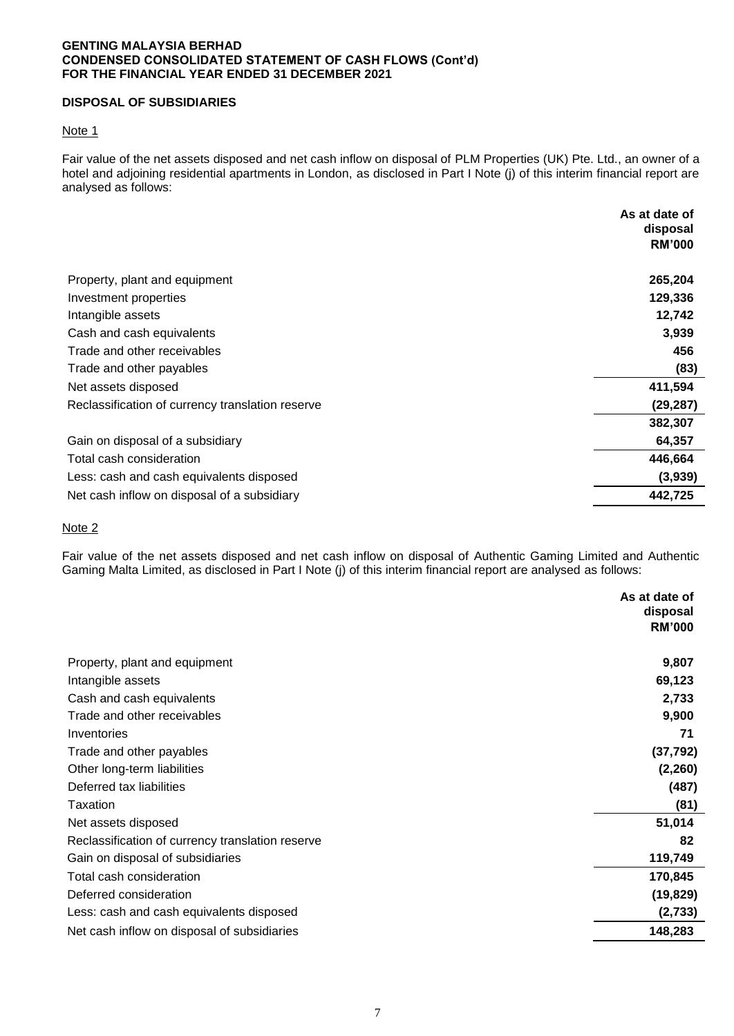## **GENTING MALAYSIA BERHAD CONDENSED CONSOLIDATED STATEMENT OF CASH FLOWS (Cont'd) FOR THE FINANCIAL YEAR ENDED 31 DECEMBER 2021**

# **DISPOSAL OF SUBSIDIARIES**

#### Note 1

Fair value of the net assets disposed and net cash inflow on disposal of PLM Properties (UK) Pte. Ltd., an owner of a hotel and adjoining residential apartments in London, as disclosed in Part I Note (j) of this interim financial report are analysed as follows:

|                                                  | As at date of<br>disposal |
|--------------------------------------------------|---------------------------|
|                                                  | <b>RM'000</b>             |
| Property, plant and equipment                    | 265,204                   |
| Investment properties                            | 129,336                   |
| Intangible assets                                | 12,742                    |
| Cash and cash equivalents                        | 3,939                     |
| Trade and other receivables                      | 456                       |
| Trade and other payables                         | (83)                      |
| Net assets disposed                              | 411,594                   |
| Reclassification of currency translation reserve | (29, 287)                 |
|                                                  | 382,307                   |
| Gain on disposal of a subsidiary                 | 64,357                    |
| Total cash consideration                         | 446,664                   |
| Less: cash and cash equivalents disposed         | (3,939)                   |
| Net cash inflow on disposal of a subsidiary      | 442,725                   |

#### Note 2

Fair value of the net assets disposed and net cash inflow on disposal of Authentic Gaming Limited and Authentic Gaming Malta Limited, as disclosed in Part I Note (j) of this interim financial report are analysed as follows:

|                                                  | As at date of |
|--------------------------------------------------|---------------|
|                                                  | disposal      |
|                                                  | <b>RM'000</b> |
| Property, plant and equipment                    | 9,807         |
| Intangible assets                                | 69,123        |
| Cash and cash equivalents                        | 2,733         |
| Trade and other receivables                      | 9,900         |
| Inventories                                      | 71            |
| Trade and other payables                         | (37, 792)     |
| Other long-term liabilities                      | (2,260)       |
| Deferred tax liabilities                         | (487)         |
| Taxation                                         | (81)          |
| Net assets disposed                              | 51,014        |
| Reclassification of currency translation reserve | 82            |
| Gain on disposal of subsidiaries                 | 119,749       |
| Total cash consideration                         | 170,845       |
| Deferred consideration                           | (19, 829)     |
| Less: cash and cash equivalents disposed         | (2,733)       |
| Net cash inflow on disposal of subsidiaries      | 148,283       |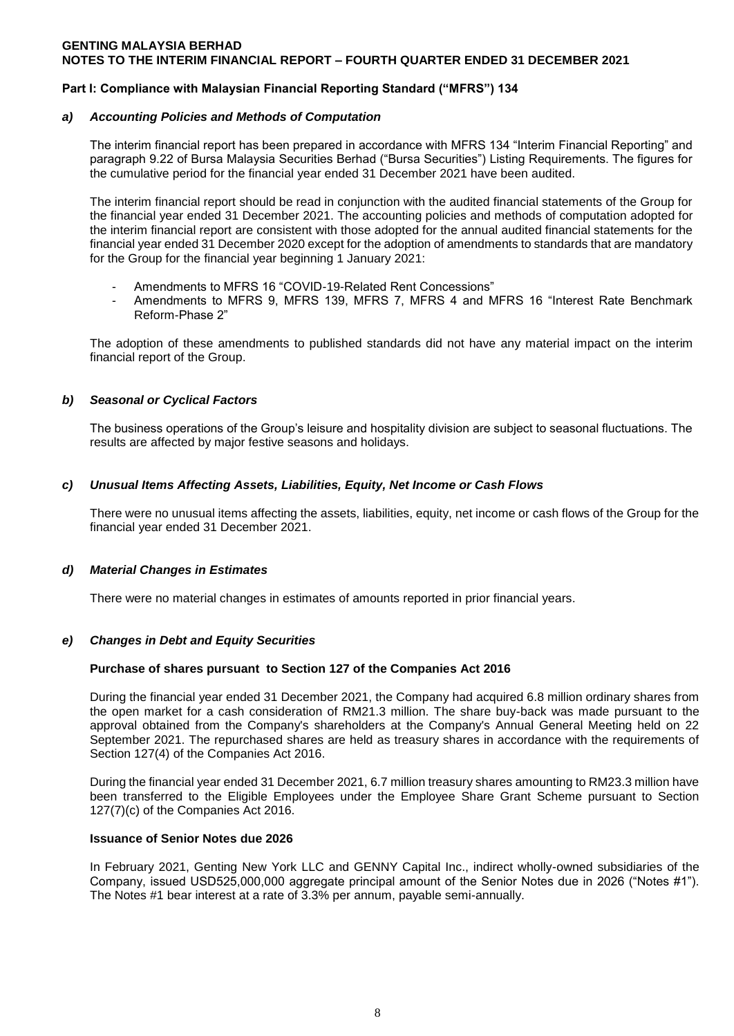#### **GENTING MALAYSIA BERHAD NOTES TO THE INTERIM FINANCIAL REPORT – FOURTH QUARTER ENDED 31 DECEMBER 2021**

## **Part I: Compliance with Malaysian Financial Reporting Standard ("MFRS") 134**

#### *a) Accounting Policies and Methods of Computation*

The interim financial report has been prepared in accordance with MFRS 134 "Interim Financial Reporting" and paragraph 9.22 of Bursa Malaysia Securities Berhad ("Bursa Securities") Listing Requirements. The figures for the cumulative period for the financial year ended 31 December 2021 have been audited.

The interim financial report should be read in conjunction with the audited financial statements of the Group for the financial year ended 31 December 2021. The accounting policies and methods of computation adopted for the interim financial report are consistent with those adopted for the annual audited financial statements for the financial year ended 31 December 2020 except for the adoption of amendments to standards that are mandatory for the Group for the financial year beginning 1 January 2021:

- Amendments to MFRS 16 "COVID-19-Related Rent Concessions"
- Amendments to MFRS 9, MFRS 139, MFRS 7, MFRS 4 and MFRS 16 "Interest Rate Benchmark Reform-Phase 2"

The adoption of these amendments to published standards did not have any material impact on the interim financial report of the Group.

## *b) Seasonal or Cyclical Factors*

The business operations of the Group's leisure and hospitality division are subject to seasonal fluctuations. The results are affected by major festive seasons and holidays.

## *c) Unusual Items Affecting Assets, Liabilities, Equity, Net Income or Cash Flows*

There were no unusual items affecting the assets, liabilities, equity, net income or cash flows of the Group for the financial year ended 31 December 2021.

#### *d) Material Changes in Estimates*

There were no material changes in estimates of amounts reported in prior financial years.

#### *e) Changes in Debt and Equity Securities*

#### **Purchase of shares pursuant to Section 127 of the Companies Act 2016**

During the financial year ended 31 December 2021, the Company had acquired 6.8 million ordinary shares from the open market for a cash consideration of RM21.3 million. The share buy-back was made pursuant to the approval obtained from the Company's shareholders at the Company's Annual General Meeting held on 22 September 2021. The repurchased shares are held as treasury shares in accordance with the requirements of Section 127(4) of the Companies Act 2016.

During the financial year ended 31 December 2021, 6.7 million treasury shares amounting to RM23.3 million have been transferred to the Eligible Employees under the Employee Share Grant Scheme pursuant to Section 127(7)(c) of the Companies Act 2016.

#### **Issuance of Senior Notes due 2026**

In February 2021, Genting New York LLC and GENNY Capital Inc., indirect wholly-owned subsidiaries of the Company, issued USD525,000,000 aggregate principal amount of the Senior Notes due in 2026 ("Notes #1"). The Notes #1 bear interest at a rate of 3.3% per annum, payable semi-annually.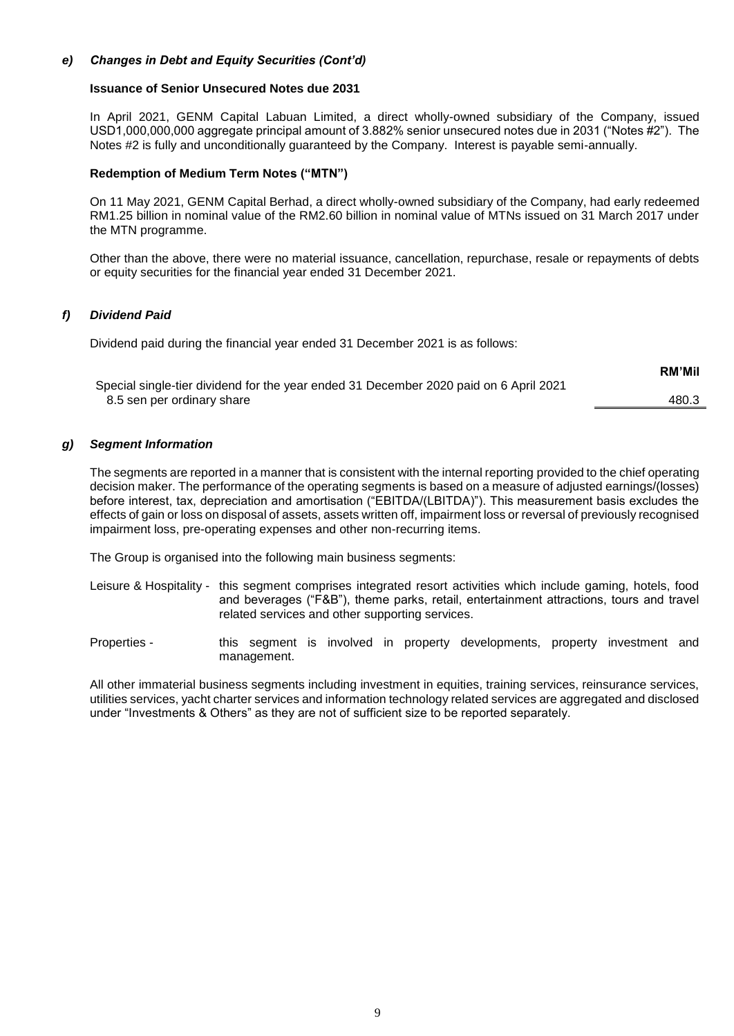# *e) Changes in Debt and Equity Securities (Cont'd)*

#### **Issuance of Senior Unsecured Notes due 2031**

In April 2021, GENM Capital Labuan Limited, a direct wholly-owned subsidiary of the Company, issued USD1,000,000,000 aggregate principal amount of 3.882% senior unsecured notes due in 2031 ("Notes #2"). The Notes #2 is fully and unconditionally guaranteed by the Company. Interest is payable semi-annually.

#### **Redemption of Medium Term Notes ("MTN")**

On 11 May 2021, GENM Capital Berhad, a direct wholly-owned subsidiary of the Company, had early redeemed RM1.25 billion in nominal value of the RM2.60 billion in nominal value of MTNs issued on 31 March 2017 under the MTN programme.

Other than the above, there were no material issuance, cancellation, repurchase, resale or repayments of debts or equity securities for the financial year ended 31 December 2021.

#### *f) Dividend Paid*

Dividend paid during the financial year ended 31 December 2021 is as follows:

|                                                                                       | INIVI IVIII |
|---------------------------------------------------------------------------------------|-------------|
| Special single-tier dividend for the year ended 31 December 2020 paid on 6 April 2021 |             |
| 8.5 sen per ordinary share                                                            | 480.3       |

**RM'Mil**

#### *g) Segment Information*

The segments are reported in a manner that is consistent with the internal reporting provided to the chief operating decision maker. The performance of the operating segments is based on a measure of adjusted earnings/(losses) before interest, tax, depreciation and amortisation ("EBITDA/(LBITDA)"). This measurement basis excludes the effects of gain or loss on disposal of assets, assets written off, impairment loss or reversal of previously recognised impairment loss, pre-operating expenses and other non-recurring items.

The Group is organised into the following main business segments:

- Leisure & Hospitality this segment comprises integrated resort activities which include gaming, hotels, food and beverages ("F&B"), theme parks, retail, entertainment attractions, tours and travel related services and other supporting services.
- Properties this segment is involved in property developments, property investment and management.

All other immaterial business segments including investment in equities, training services, reinsurance services, utilities services, yacht charter services and information technology related services are aggregated and disclosed under "Investments & Others" as they are not of sufficient size to be reported separately.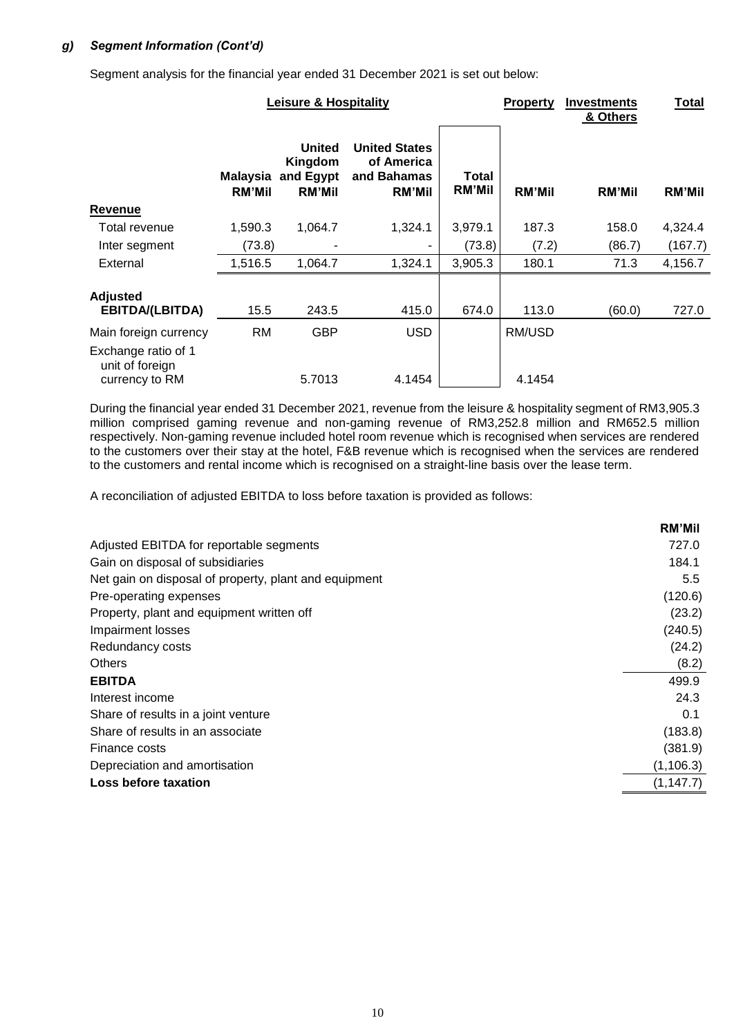# *g) Segment Information (Cont'd)*

Segment analysis for the financial year ended 31 December 2021 is set out below:

|                                                          |               | <b>Leisure &amp; Hospitality</b>                                |                                                                    |                        | <b>Property</b> | <b>Investments</b><br>& Others | <b>Total</b>  |
|----------------------------------------------------------|---------------|-----------------------------------------------------------------|--------------------------------------------------------------------|------------------------|-----------------|--------------------------------|---------------|
|                                                          | <b>RM'Mil</b> | United<br>Kingdom<br><b>Malaysia and Egypt</b><br><b>RM'Mil</b> | <b>United States</b><br>of America<br>and Bahamas<br><b>RM'Mil</b> | Total<br><b>RM'Mil</b> | <b>RM'Mil</b>   | <b>RM'Mil</b>                  | <b>RM'Mil</b> |
| Revenue                                                  |               |                                                                 |                                                                    |                        |                 |                                |               |
| Total revenue                                            | 1,590.3       | 1,064.7                                                         | 1,324.1                                                            | 3,979.1                | 187.3           | 158.0                          | 4,324.4       |
| Inter segment                                            | (73.8)        |                                                                 |                                                                    | (73.8)                 | (7.2)           | (86.7)                         | (167.7)       |
| External                                                 | 1,516.5       | 1,064.7                                                         | 1,324.1                                                            | 3,905.3                | 180.1           | 71.3                           | 4,156.7       |
| <b>Adjusted</b><br><b>EBITDA/(LBITDA)</b>                | 15.5          | 243.5                                                           | 415.0                                                              | 674.0                  | 113.0           | (60.0)                         | 727.0         |
| Main foreign currency                                    | RM            | <b>GBP</b>                                                      | <b>USD</b>                                                         |                        | RM/USD          |                                |               |
| Exchange ratio of 1<br>unit of foreign<br>currency to RM |               | 5.7013                                                          | 4.1454                                                             |                        | 4.1454          |                                |               |

During the financial year ended 31 December 2021, revenue from the leisure & hospitality segment of RM3,905.3 million comprised gaming revenue and non-gaming revenue of RM3,252.8 million and RM652.5 million respectively. Non-gaming revenue included hotel room revenue which is recognised when services are rendered to the customers over their stay at the hotel, F&B revenue which is recognised when the services are rendered to the customers and rental income which is recognised on a straight-line basis over the lease term.

A reconciliation of adjusted EBITDA to loss before taxation is provided as follows:

|                                                       | <b>RM'Mil</b> |
|-------------------------------------------------------|---------------|
| Adjusted EBITDA for reportable segments               | 727.0         |
| Gain on disposal of subsidiaries                      | 184.1         |
| Net gain on disposal of property, plant and equipment | $5.5^{\circ}$ |
| Pre-operating expenses                                | (120.6)       |
| Property, plant and equipment written off             | (23.2)        |
| Impairment losses                                     | (240.5)       |
| Redundancy costs                                      | (24.2)        |
| <b>Others</b>                                         | (8.2)         |
| <b>EBITDA</b>                                         | 499.9         |
| Interest income                                       | 24.3          |
| Share of results in a joint venture                   | 0.1           |
| Share of results in an associate                      | (183.8)       |
| Finance costs                                         | (381.9)       |
| Depreciation and amortisation                         | (1, 106.3)    |
| Loss before taxation                                  | (1, 147.7)    |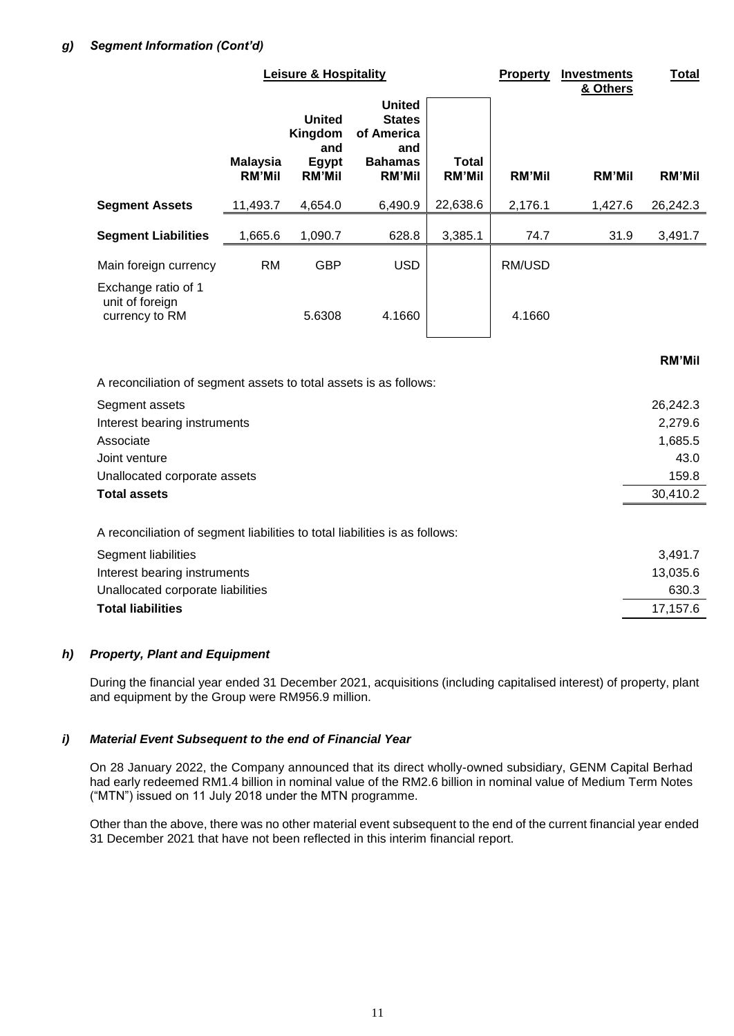|                                                                   | <b>Leisure &amp; Hospitality</b> |                                                                  |                                                                                        |                               |               | <b>Investments</b><br>& Others | <b>Total</b>  |
|-------------------------------------------------------------------|----------------------------------|------------------------------------------------------------------|----------------------------------------------------------------------------------------|-------------------------------|---------------|--------------------------------|---------------|
|                                                                   | <b>Malaysia</b><br><b>RM'Mil</b> | <b>United</b><br>Kingdom<br>and<br><b>Egypt</b><br><b>RM'Mil</b> | <b>United</b><br><b>States</b><br>of America<br>and<br><b>Bahamas</b><br><b>RM'Mil</b> | <b>Total</b><br><b>RM'Mil</b> | <b>RM'Mil</b> | <b>RM'Mil</b>                  | <b>RM'Mil</b> |
| <b>Segment Assets</b>                                             | 11,493.7                         | 4,654.0                                                          | 6,490.9                                                                                | 22,638.6                      | 2,176.1       | 1,427.6                        | 26,242.3      |
| <b>Segment Liabilities</b>                                        | 1,665.6                          | 1,090.7                                                          | 628.8                                                                                  | 3,385.1                       | 74.7          | 31.9                           | 3,491.7       |
| Main foreign currency                                             | <b>RM</b>                        | <b>GBP</b>                                                       | <b>USD</b>                                                                             |                               | RM/USD        |                                |               |
| Exchange ratio of 1<br>unit of foreign<br>currency to RM          |                                  | 5.6308                                                           | 4.1660                                                                                 |                               | 4.1660        |                                |               |
|                                                                   |                                  |                                                                  |                                                                                        |                               |               |                                | <b>RM'Mil</b> |
| A reconciliation of segment assets to total assets is as follows: |                                  |                                                                  |                                                                                        |                               |               |                                |               |
| Segment assets                                                    |                                  |                                                                  |                                                                                        |                               |               |                                | 26,242.3      |
| Interest bearing instruments                                      |                                  |                                                                  |                                                                                        |                               |               |                                | 2,279.6       |
| Associate                                                         |                                  |                                                                  |                                                                                        |                               |               |                                | 1,685.5       |
| Joint venture                                                     |                                  |                                                                  |                                                                                        |                               |               |                                | 43.0          |
| Unallocated corporate assets                                      |                                  |                                                                  |                                                                                        |                               |               |                                | 159.8         |
| <b>Total assets</b>                                               |                                  |                                                                  |                                                                                        |                               |               |                                | 30,410.2      |

A reconciliation of segment liabilities to total liabilities is as follows:

| Segment liabilities               | 3.491.7  |
|-----------------------------------|----------|
| Interest bearing instruments      | 13,035.6 |
| Unallocated corporate liabilities | 630.3    |
| <b>Total liabilities</b>          | 17.157.6 |

# *h) Property, Plant and Equipment*

During the financial year ended 31 December 2021, acquisitions (including capitalised interest) of property, plant and equipment by the Group were RM956.9 million.

# *i) Material Event Subsequent to the end of Financial Year*

On 28 January 2022, the Company announced that its direct wholly-owned subsidiary, GENM Capital Berhad had early redeemed RM1.4 billion in nominal value of the RM2.6 billion in nominal value of Medium Term Notes ("MTN") issued on 11 July 2018 under the MTN programme.

Other than the above, there was no other material event subsequent to the end of the current financial year ended 31 December 2021 that have not been reflected in this interim financial report.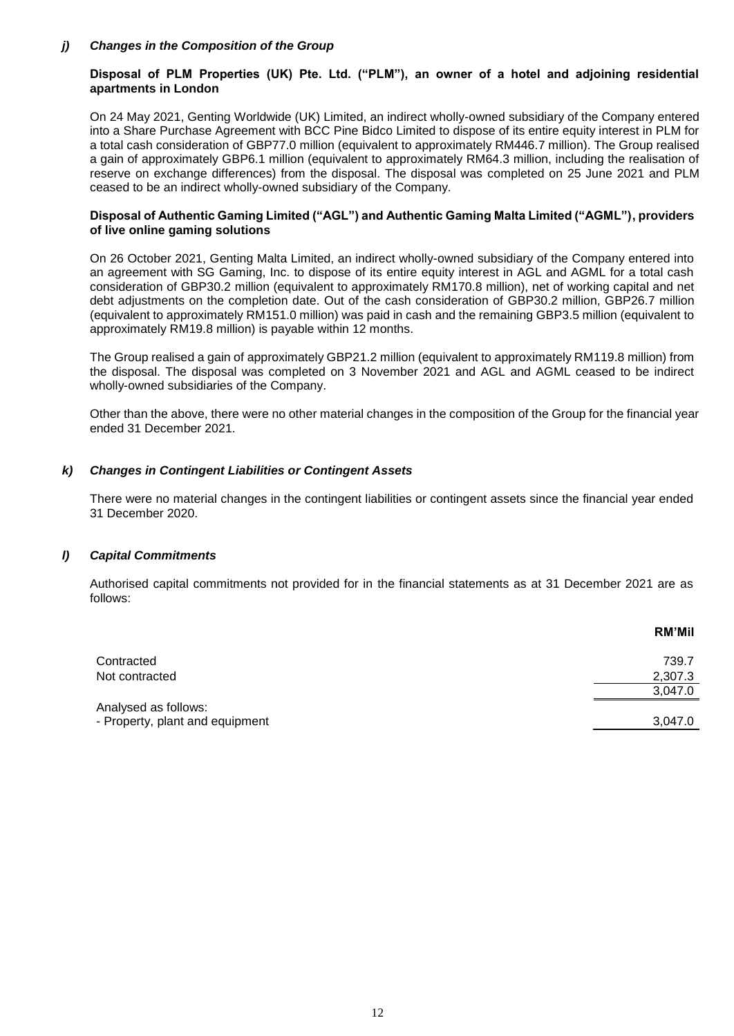## *j) Changes in the Composition of the Group*

# **Disposal of PLM Properties (UK) Pte. Ltd. ("PLM"), an owner of a hotel and adjoining residential apartments in London**

On 24 May 2021, Genting Worldwide (UK) Limited, an indirect wholly-owned subsidiary of the Company entered into a Share Purchase Agreement with BCC Pine Bidco Limited to dispose of its entire equity interest in PLM for a total cash consideration of GBP77.0 million (equivalent to approximately RM446.7 million). The Group realised a gain of approximately GBP6.1 million (equivalent to approximately RM64.3 million, including the realisation of reserve on exchange differences) from the disposal. The disposal was completed on 25 June 2021 and PLM ceased to be an indirect wholly-owned subsidiary of the Company.

#### **Disposal of Authentic Gaming Limited ("AGL") and Authentic Gaming Malta Limited ("AGML"), providers of live online gaming solutions**

On 26 October 2021, Genting Malta Limited, an indirect wholly-owned subsidiary of the Company entered into an agreement with SG Gaming, Inc. to dispose of its entire equity interest in AGL and AGML for a total cash consideration of GBP30.2 million (equivalent to approximately RM170.8 million), net of working capital and net debt adjustments on the completion date. Out of the cash consideration of GBP30.2 million, GBP26.7 million (equivalent to approximately RM151.0 million) was paid in cash and the remaining GBP3.5 million (equivalent to approximately RM19.8 million) is payable within 12 months.

The Group realised a gain of approximately GBP21.2 million (equivalent to approximately RM119.8 million) from the disposal. The disposal was completed on 3 November 2021 and AGL and AGML ceased to be indirect wholly-owned subsidiaries of the Company.

Other than the above, there were no other material changes in the composition of the Group for the financial year ended 31 December 2021.

## *k) Changes in Contingent Liabilities or Contingent Assets*

There were no material changes in the contingent liabilities or contingent assets since the financial year ended 31 December 2020.

#### *l) Capital Commitments*

Authorised capital commitments not provided for in the financial statements as at 31 December 2021 are as follows:

|                                 | <b>RM'Mil</b> |
|---------------------------------|---------------|
| Contracted                      | 739.7         |
| Not contracted                  | 2,307.3       |
|                                 | 3,047.0       |
| Analysed as follows:            |               |
| - Property, plant and equipment | 3,047.0       |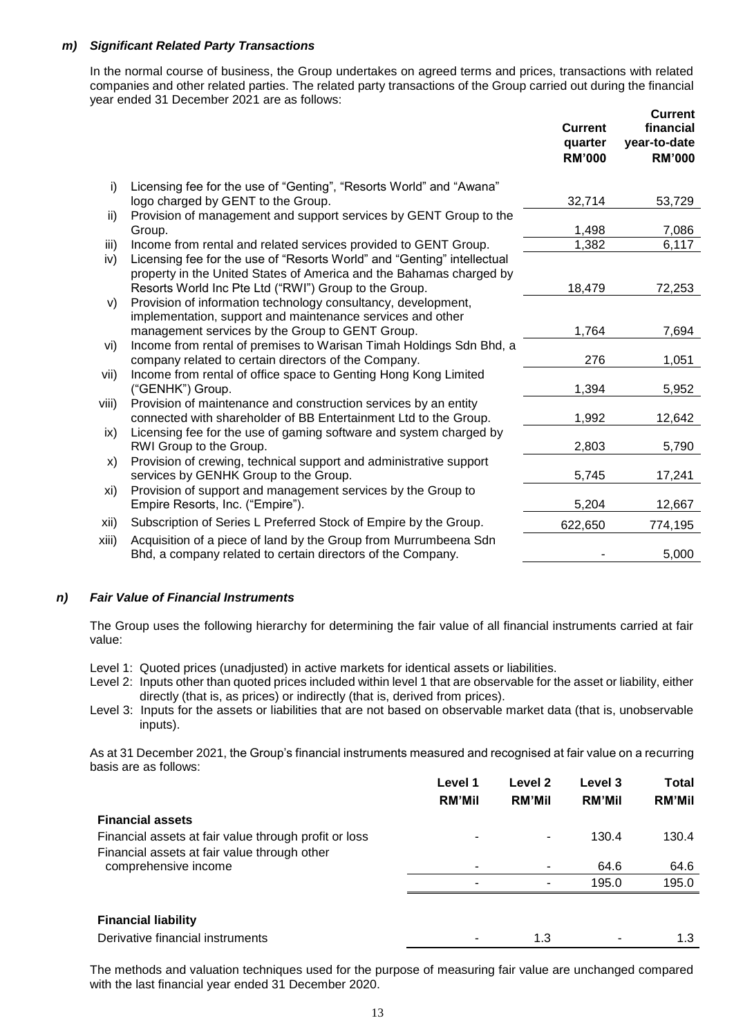## *m) Significant Related Party Transactions*

In the normal course of business, the Group undertakes on agreed terms and prices, transactions with related companies and other related parties. The related party transactions of the Group carried out during the financial year ended 31 December 2021 are as follows:

|       |                                                                                                                                                | <b>Current</b><br>quarter<br><b>RM'000</b> | <b>Current</b><br>financial<br>year-to-date<br><b>RM'000</b> |
|-------|------------------------------------------------------------------------------------------------------------------------------------------------|--------------------------------------------|--------------------------------------------------------------|
| i)    | Licensing fee for the use of "Genting", "Resorts World" and "Awana"                                                                            |                                            |                                                              |
|       | logo charged by GENT to the Group.                                                                                                             | 32,714                                     | 53,729                                                       |
| ii)   | Provision of management and support services by GENT Group to the<br>Group.                                                                    | 1,498                                      | 7,086                                                        |
| iii)  | Income from rental and related services provided to GENT Group.                                                                                | 1,382                                      | 6,117                                                        |
| iv)   | Licensing fee for the use of "Resorts World" and "Genting" intellectual<br>property in the United States of America and the Bahamas charged by |                                            |                                                              |
|       | Resorts World Inc Pte Ltd ("RWI") Group to the Group.                                                                                          | 18,479                                     | 72,253                                                       |
| V)    | Provision of information technology consultancy, development,<br>implementation, support and maintenance services and other                    |                                            |                                                              |
|       | management services by the Group to GENT Group.                                                                                                | 1,764                                      | 7,694                                                        |
| vi)   | Income from rental of premises to Warisan Timah Holdings Sdn Bhd, a<br>company related to certain directors of the Company.                    | 276                                        | 1,051                                                        |
| vii)  | Income from rental of office space to Genting Hong Kong Limited<br>("GENHK") Group.                                                            | 1,394                                      | 5,952                                                        |
| viii) | Provision of maintenance and construction services by an entity<br>connected with shareholder of BB Entertainment Ltd to the Group.            | 1,992                                      | 12,642                                                       |
| ix)   | Licensing fee for the use of gaming software and system charged by<br>RWI Group to the Group.                                                  | 2,803                                      | 5,790                                                        |
| X)    | Provision of crewing, technical support and administrative support<br>services by GENHK Group to the Group.                                    | 5,745                                      | 17,241                                                       |
| xi)   | Provision of support and management services by the Group to<br>Empire Resorts, Inc. ("Empire").                                               | 5,204                                      | 12,667                                                       |
| xii)  | Subscription of Series L Preferred Stock of Empire by the Group.                                                                               | 622,650                                    | 774,195                                                      |
| xiii) | Acquisition of a piece of land by the Group from Murrumbeena Sdn<br>Bhd, a company related to certain directors of the Company.                |                                            | 5,000                                                        |
|       |                                                                                                                                                |                                            |                                                              |

# *n) Fair Value of Financial Instruments*

The Group uses the following hierarchy for determining the fair value of all financial instruments carried at fair value:

Level 1: Quoted prices (unadjusted) in active markets for identical assets or liabilities.

- Level 2: Inputs other than quoted prices included within level 1 that are observable for the asset or liability, either directly (that is, as prices) or indirectly (that is, derived from prices).
- Level 3: Inputs for the assets or liabilities that are not based on observable market data (that is, unobservable inputs).

As at 31 December 2021, the Group's financial instruments measured and recognised at fair value on a recurring basis are as follows:

|                                                       | Level 1<br><b>RM'Mil</b> | Level 2<br><b>RM'Mil</b> | <b>Level 3</b><br><b>RM'Mil</b> | <b>Total</b><br><b>RM'Mil</b> |
|-------------------------------------------------------|--------------------------|--------------------------|---------------------------------|-------------------------------|
| <b>Financial assets</b>                               |                          |                          |                                 |                               |
| Financial assets at fair value through profit or loss | ۰                        | ۰                        | 130.4                           | 130.4                         |
| Financial assets at fair value through other          |                          |                          |                                 |                               |
| comprehensive income                                  | ۰                        | ۰                        | 64.6                            | 64.6                          |
|                                                       | $\overline{\phantom{a}}$ | ۰                        | 195.0                           | 195.0                         |
|                                                       |                          |                          |                                 |                               |
| <b>Financial liability</b>                            |                          |                          |                                 |                               |
| Derivative financial instruments                      |                          | 1.3                      |                                 | 1.3                           |

The methods and valuation techniques used for the purpose of measuring fair value are unchanged compared with the last financial year ended 31 December 2020.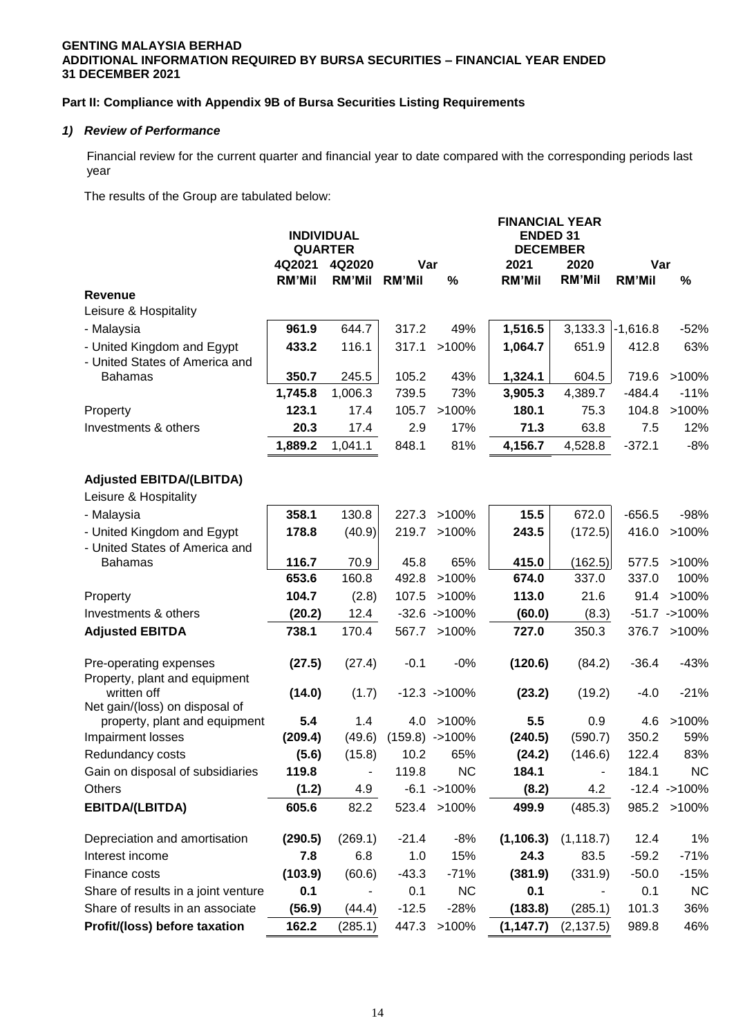# **GENTING MALAYSIA BERHAD ADDITIONAL INFORMATION REQUIRED BY BURSA SECURITIES – FINANCIAL YEAR ENDED 31 DECEMBER 2021**

# **Part II: Compliance with Appendix 9B of Bursa Securities Listing Requirements**

## *1) Review of Performance*

Financial review for the current quarter and financial year to date compared with the corresponding periods last year

The results of the Group are tabulated below:

|                                              | <b>INDIVIDUAL</b><br><b>QUARTER</b><br>4Q2021 | 4Q2020        | Var           |                   | <b>FINANCIAL YEAR</b><br><b>ENDED 31</b><br><b>DECEMBER</b><br>2021 | 2020           | Var           |                  |
|----------------------------------------------|-----------------------------------------------|---------------|---------------|-------------------|---------------------------------------------------------------------|----------------|---------------|------------------|
|                                              | <b>RM'Mil</b>                                 | <b>RM'Mil</b> | <b>RM'Mil</b> | $\%$              | <b>RM'Mil</b>                                                       | <b>RM'Mil</b>  | <b>RM'Mil</b> | $\%$             |
| <b>Revenue</b>                               |                                               |               |               |                   |                                                                     |                |               |                  |
| Leisure & Hospitality                        |                                               |               |               |                   |                                                                     |                |               |                  |
| - Malaysia                                   | 961.9                                         | 644.7         | 317.2         | 49%               | 1,516.5                                                             | 3,133.3        | $-1,616.8$    | $-52%$           |
| - United Kingdom and Egypt                   | 433.2                                         | 116.1         | 317.1         | >100%             | 1,064.7                                                             | 651.9          | 412.8         | 63%              |
| - United States of America and               |                                               |               |               |                   |                                                                     |                |               |                  |
| <b>Bahamas</b>                               | 350.7                                         | 245.5         | 105.2         | 43%               | 1,324.1                                                             | 604.5          | 719.6         | >100%            |
|                                              | 1,745.8                                       | 1,006.3       | 739.5         | 73%               | 3,905.3                                                             | 4,389.7        | $-484.4$      | $-11%$           |
| Property                                     | 123.1                                         | 17.4          | 105.7         | >100%             | 180.1                                                               | 75.3           | 104.8         | >100%            |
| Investments & others                         | 20.3                                          | 17.4          | 2.9           | 17%               | 71.3                                                                | 63.8           | 7.5           | 12%              |
|                                              | 1,889.2                                       | 1,041.1       | 848.1         | 81%               | 4,156.7                                                             | 4,528.8        | $-372.1$      | $-8%$            |
| <b>Adjusted EBITDA/(LBITDA)</b>              |                                               |               |               |                   |                                                                     |                |               |                  |
| Leisure & Hospitality                        |                                               |               |               |                   |                                                                     |                |               |                  |
| - Malaysia                                   | 358.1                                         | 130.8         | 227.3         | >100%             | 15.5                                                                | 672.0          | $-656.5$      | -98%             |
| - United Kingdom and Egypt                   | 178.8                                         | (40.9)        | 219.7         | >100%             | 243.5                                                               | (172.5)        | 416.0         | >100%            |
| - United States of America and               |                                               |               |               |                   |                                                                     |                |               |                  |
| <b>Bahamas</b>                               | 116.7                                         | 70.9          | 45.8          | 65%               | 415.0                                                               | (162.5)        | 577.5         | >100%            |
|                                              | 653.6                                         | 160.8         | 492.8         | >100%             | 674.0                                                               | 337.0          | 337.0         | 100%             |
| Property                                     | 104.7                                         | (2.8)         | 107.5         | >100%             | 113.0                                                               | 21.6           | 91.4          | >100%            |
| Investments & others                         | (20.2)                                        | 12.4          |               | $-32.6 - > 100\%$ | (60.0)                                                              | (8.3)          |               | $-51.7 - >100\%$ |
| <b>Adjusted EBITDA</b>                       | 738.1                                         | 170.4         | 567.7         | >100%             | 727.0                                                               | 350.3          | 376.7         | >100%            |
|                                              |                                               |               |               |                   |                                                                     |                |               |                  |
| Pre-operating expenses                       | (27.5)                                        | (27.4)        | $-0.1$        | $-0%$             | (120.6)                                                             | (84.2)         | $-36.4$       | $-43%$           |
| Property, plant and equipment<br>written off | (14.0)                                        | (1.7)         |               | $-12.3 - 100\%$   | (23.2)                                                              | (19.2)         | $-4.0$        | $-21%$           |
| Net gain/(loss) on disposal of               |                                               |               |               |                   |                                                                     |                |               |                  |
| property, plant and equipment                | 5.4                                           | 1.4           | 4.0           | >100%             | 5.5                                                                 | 0.9            | 4.6           | >100%            |
| Impairment losses                            | (209.4)                                       | (49.6)        |               | $(159.8) - 100\%$ | (240.5)                                                             | (590.7)        | 350.2         | 59%              |
| Redundancy costs                             | (5.6)                                         | (15.8)        | 10.2          | 65%               | (24.2)                                                              | (146.6)        | 122.4         | 83%              |
| Gain on disposal of subsidiaries             | 119.8                                         |               | 119.8         | <b>NC</b>         | 184.1                                                               | $\blacksquare$ | 184.1         | <b>NC</b>        |
| Others                                       | (1.2)                                         | 4.9           |               | $-6.1 - > 100\%$  | (8.2)                                                               | 4.2            |               | $-12.4 - 100\%$  |
| EBITDA/(LBITDA)                              | 605.6                                         | 82.2          |               | 523.4 >100%       | 499.9                                                               | (485.3)        |               | 985.2 >100%      |
| Depreciation and amortisation                | (290.5)                                       | (269.1)       | $-21.4$       | $-8%$             | (1, 106.3)                                                          | (1, 118.7)     | 12.4          | 1%               |
| Interest income                              | 7.8                                           | 6.8           | 1.0           | 15%               | 24.3                                                                | 83.5           | $-59.2$       | $-71%$           |
| Finance costs                                | (103.9)                                       | (60.6)        | $-43.3$       | $-71%$            | (381.9)                                                             | (331.9)        | $-50.0$       | $-15%$           |
| Share of results in a joint venture          | 0.1                                           |               | 0.1           | <b>NC</b>         | 0.1                                                                 |                | 0.1           | <b>NC</b>        |
| Share of results in an associate             | (56.9)                                        | (44.4)        | $-12.5$       | $-28%$            | (183.8)                                                             | (285.1)        | 101.3         | 36%              |
| Profit/(loss) before taxation                | 162.2                                         | (285.1)       | 447.3         | >100%             | (1, 147.7)                                                          | (2, 137.5)     | 989.8         | 46%              |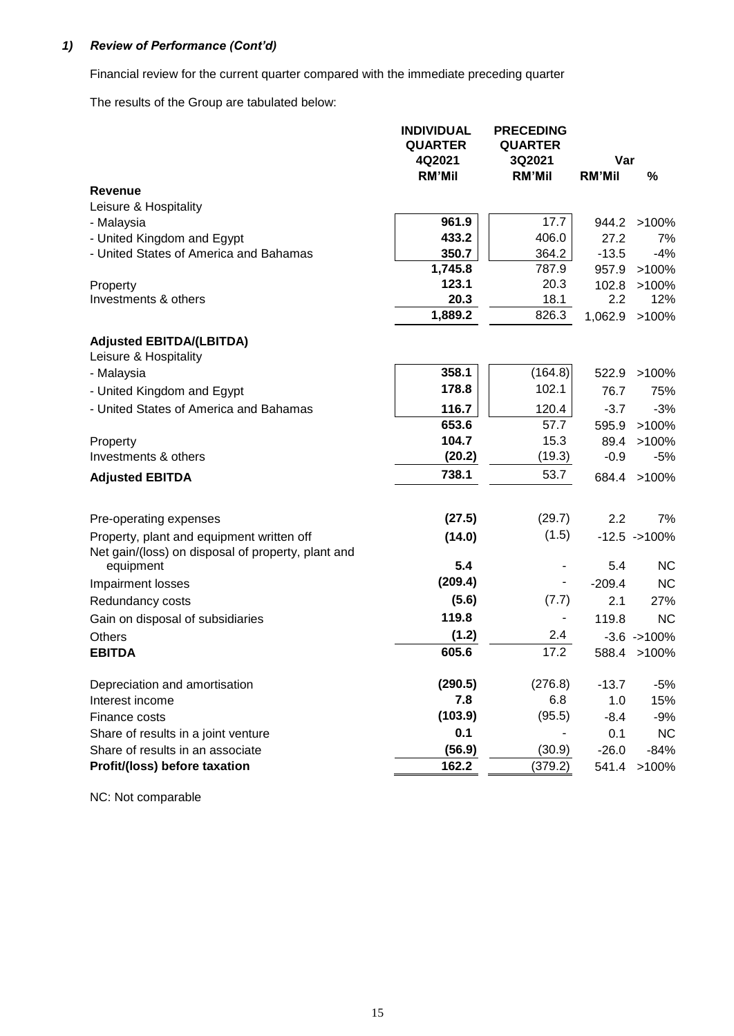# *1) Review of Performance (Cont'd)*

Financial review for the current quarter compared with the immediate preceding quarter

The results of the Group are tabulated below:

|                                                                                                 | <b>INDIVIDUAL</b><br><b>QUARTER</b> | <b>PRECEDING</b><br><b>QUARTER</b> |               |                 |
|-------------------------------------------------------------------------------------------------|-------------------------------------|------------------------------------|---------------|-----------------|
|                                                                                                 | 4Q2021                              | 3Q2021                             | Var           |                 |
| <b>Revenue</b>                                                                                  | <b>RM'Mil</b>                       | <b>RM'Mil</b>                      | <b>RM'Mil</b> | %               |
| Leisure & Hospitality                                                                           |                                     |                                    |               |                 |
| - Malaysia                                                                                      | 961.9                               | 17.7                               |               | 944.2 >100%     |
| - United Kingdom and Egypt                                                                      | 433.2                               | 406.0                              | 27.2          | 7%              |
| - United States of America and Bahamas                                                          | 350.7                               | 364.2                              | $-13.5$       | $-4%$           |
|                                                                                                 | 1,745.8                             | 787.9                              | 957.9         | $>100\%$        |
| Property                                                                                        | 123.1                               | 20.3                               | 102.8         | >100%           |
| Investments & others                                                                            | 20.3                                | 18.1                               | $2.2\,$       | 12%             |
|                                                                                                 | 1,889.2                             | 826.3                              | 1,062.9       | >100%           |
| <b>Adjusted EBITDA/(LBITDA)</b>                                                                 |                                     |                                    |               |                 |
| Leisure & Hospitality                                                                           |                                     |                                    |               |                 |
| - Malaysia                                                                                      | 358.1                               | (164.8)                            | 522.9         | >100%           |
| - United Kingdom and Egypt                                                                      | 178.8                               | 102.1                              | 76.7          | 75%             |
| - United States of America and Bahamas                                                          | 116.7                               | 120.4                              | $-3.7$        | $-3%$           |
|                                                                                                 | 653.6                               | 57.7                               | 595.9         | >100%           |
| Property                                                                                        | 104.7                               | 15.3                               | 89.4          | >100%           |
| Investments & others                                                                            | (20.2)                              | (19.3)                             | $-0.9$        | $-5%$           |
| <b>Adjusted EBITDA</b>                                                                          | 738.1                               | 53.7                               |               | 684.4 >100%     |
|                                                                                                 |                                     |                                    |               |                 |
| Pre-operating expenses                                                                          | (27.5)                              | (29.7)                             | 2.2           | 7%              |
| Property, plant and equipment written off<br>Net gain/(loss) on disposal of property, plant and | (14.0)                              | (1.5)                              |               | $-12.5 - 100\%$ |
| equipment                                                                                       | 5.4                                 |                                    | 5.4           | <b>NC</b>       |
| Impairment losses                                                                               | (209.4)                             | -                                  | $-209.4$      | <b>NC</b>       |
| Redundancy costs                                                                                | (5.6)                               | (7.7)                              | 2.1           | 27%             |
| Gain on disposal of subsidiaries                                                                | 119.8                               | -                                  | 119.8         | <b>NC</b>       |
| Others                                                                                          | (1.2)                               | 2.4                                |               | $-3.6 - >100\%$ |
| <b>EBITDA</b>                                                                                   | 605.6                               | 17.2                               |               | 588.4 >100%     |
| Depreciation and amortisation                                                                   | (290.5)                             | (276.8)                            | $-13.7$       | $-5%$           |
| Interest income                                                                                 | 7.8                                 | 6.8                                | 1.0           | 15%             |
| Finance costs                                                                                   | (103.9)                             | (95.5)                             | $-8.4$        | -9%             |
| Share of results in a joint venture                                                             | 0.1                                 |                                    | 0.1           | <b>NC</b>       |
| Share of results in an associate                                                                | (56.9)                              | (30.9)                             | $-26.0$       | $-84%$          |
| Profit/(loss) before taxation                                                                   | 162.2                               | (379.2)                            |               | 541.4 >100%     |

NC: Not comparable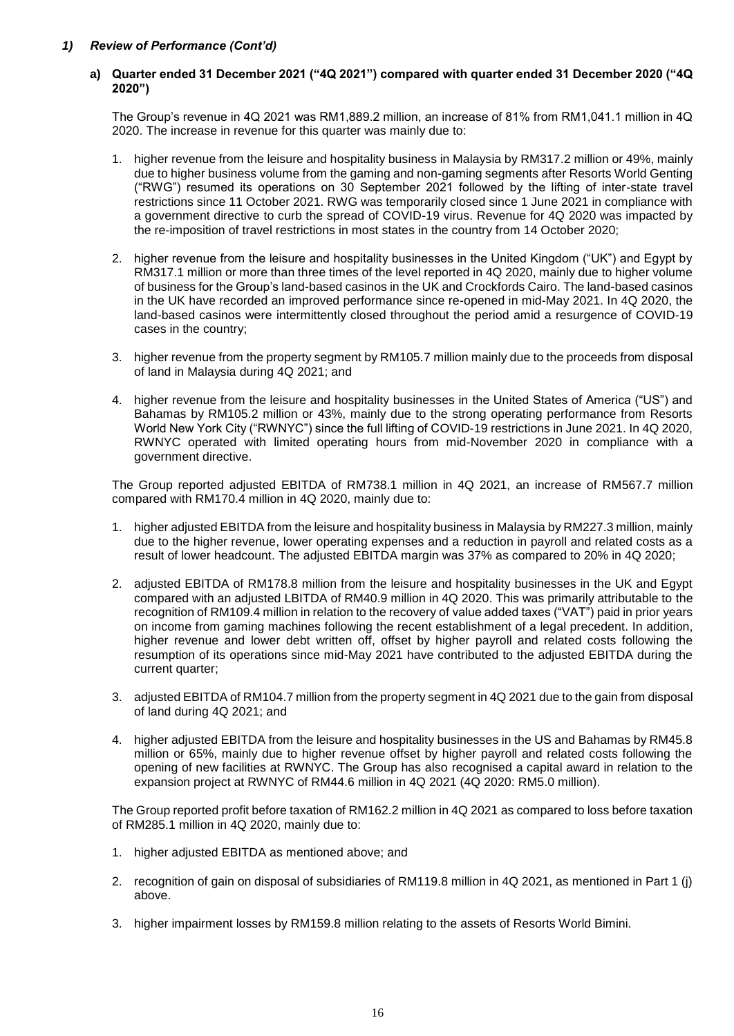## *1) Review of Performance (Cont'd)*

## **a) Quarter ended 31 December 2021 ("4Q 2021") compared with quarter ended 31 December 2020 ("4Q 2020")**

The Group's revenue in 4Q 2021 was RM1,889.2 million, an increase of 81% from RM1,041.1 million in 4Q 2020. The increase in revenue for this quarter was mainly due to:

- 1. higher revenue from the leisure and hospitality business in Malaysia by RM317.2 million or 49%, mainly due to higher business volume from the gaming and non-gaming segments after Resorts World Genting ("RWG") resumed its operations on 30 September 2021 followed by the lifting of inter-state travel restrictions since 11 October 2021. RWG was temporarily closed since 1 June 2021 in compliance with a government directive to curb the spread of COVID-19 virus. Revenue for 4Q 2020 was impacted by the re-imposition of travel restrictions in most states in the country from 14 October 2020;
- 2. higher revenue from the leisure and hospitality businesses in the United Kingdom ("UK") and Egypt by RM317.1 million or more than three times of the level reported in 4Q 2020, mainly due to higher volume of business for the Group's land-based casinos in the UK and Crockfords Cairo. The land-based casinos in the UK have recorded an improved performance since re-opened in mid-May 2021. In 4Q 2020, the land-based casinos were intermittently closed throughout the period amid a resurgence of COVID-19 cases in the country;
- 3. higher revenue from the property segment by RM105.7 million mainly due to the proceeds from disposal of land in Malaysia during 4Q 2021; and
- 4. higher revenue from the leisure and hospitality businesses in the United States of America ("US") and Bahamas by RM105.2 million or 43%, mainly due to the strong operating performance from Resorts World New York City ("RWNYC") since the full lifting of COVID-19 restrictions in June 2021. In 4Q 2020, RWNYC operated with limited operating hours from mid-November 2020 in compliance with a government directive.

The Group reported adjusted EBITDA of RM738.1 million in 4Q 2021, an increase of RM567.7 million compared with RM170.4 million in 4Q 2020, mainly due to:

- 1. higher adjusted EBITDA from the leisure and hospitality business in Malaysia by RM227.3 million, mainly due to the higher revenue, lower operating expenses and a reduction in payroll and related costs as a result of lower headcount. The adjusted EBITDA margin was 37% as compared to 20% in 4Q 2020;
- 2. adjusted EBITDA of RM178.8 million from the leisure and hospitality businesses in the UK and Egypt compared with an adjusted LBITDA of RM40.9 million in 4Q 2020. This was primarily attributable to the recognition of RM109.4 million in relation to the recovery of value added taxes ("VAT") paid in prior years on income from gaming machines following the recent establishment of a legal precedent. In addition, higher revenue and lower debt written off, offset by higher payroll and related costs following the resumption of its operations since mid-May 2021 have contributed to the adjusted EBITDA during the current quarter;
- 3. adjusted EBITDA of RM104.7 million from the property segment in 4Q 2021 due to the gain from disposal of land during 4Q 2021; and
- 4. higher adjusted EBITDA from the leisure and hospitality businesses in the US and Bahamas by RM45.8 million or 65%, mainly due to higher revenue offset by higher payroll and related costs following the opening of new facilities at RWNYC. The Group has also recognised a capital award in relation to the expansion project at RWNYC of RM44.6 million in 4Q 2021 (4Q 2020: RM5.0 million).

The Group reported profit before taxation of RM162.2 million in 4Q 2021 as compared to loss before taxation of RM285.1 million in 4Q 2020, mainly due to:

- 1. higher adjusted EBITDA as mentioned above; and
- 2. recognition of gain on disposal of subsidiaries of RM119.8 million in 4Q 2021, as mentioned in Part 1 (j) above.
- 3. higher impairment losses by RM159.8 million relating to the assets of Resorts World Bimini.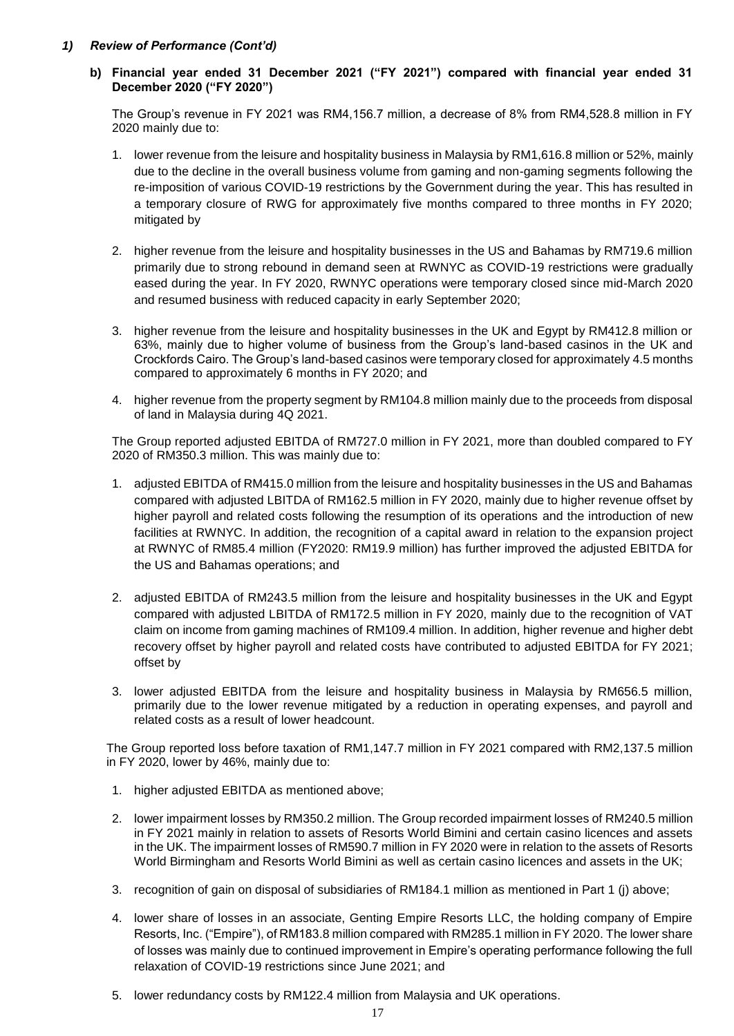# *1) Review of Performance (Cont'd)*

**b) Financial year ended 31 December 2021 ("FY 2021") compared with financial year ended 31 December 2020 ("FY 2020")** 

The Group's revenue in FY 2021 was RM4,156.7 million, a decrease of 8% from RM4,528.8 million in FY 2020 mainly due to:

- 1. lower revenue from the leisure and hospitality business in Malaysia by RM1,616.8 million or 52%, mainly due to the decline in the overall business volume from gaming and non-gaming segments following the re-imposition of various COVID-19 restrictions by the Government during the year. This has resulted in a temporary closure of RWG for approximately five months compared to three months in FY 2020; mitigated by
- 2. higher revenue from the leisure and hospitality businesses in the US and Bahamas by RM719.6 million primarily due to strong rebound in demand seen at RWNYC as COVID-19 restrictions were gradually eased during the year. In FY 2020, RWNYC operations were temporary closed since mid-March 2020 and resumed business with reduced capacity in early September 2020;
- 3. higher revenue from the leisure and hospitality businesses in the UK and Egypt by RM412.8 million or 63%, mainly due to higher volume of business from the Group's land-based casinos in the UK and Crockfords Cairo. The Group's land-based casinos were temporary closed for approximately 4.5 months compared to approximately 6 months in FY 2020; and
- 4. higher revenue from the property segment by RM104.8 million mainly due to the proceeds from disposal of land in Malaysia during 4Q 2021.

The Group reported adjusted EBITDA of RM727.0 million in FY 2021, more than doubled compared to FY 2020 of RM350.3 million. This was mainly due to:

- 1. adjusted EBITDA of RM415.0 million from the leisure and hospitality businesses in the US and Bahamas compared with adjusted LBITDA of RM162.5 million in FY 2020, mainly due to higher revenue offset by higher payroll and related costs following the resumption of its operations and the introduction of new facilities at RWNYC. In addition, the recognition of a capital award in relation to the expansion project at RWNYC of RM85.4 million (FY2020: RM19.9 million) has further improved the adjusted EBITDA for the US and Bahamas operations; and
- 2. adjusted EBITDA of RM243.5 million from the leisure and hospitality businesses in the UK and Egypt compared with adjusted LBITDA of RM172.5 million in FY 2020, mainly due to the recognition of VAT claim on income from gaming machines of RM109.4 million. In addition, higher revenue and higher debt recovery offset by higher payroll and related costs have contributed to adjusted EBITDA for FY 2021; offset by
- 3. lower adjusted EBITDA from the leisure and hospitality business in Malaysia by RM656.5 million, primarily due to the lower revenue mitigated by a reduction in operating expenses, and payroll and related costs as a result of lower headcount.

The Group reported loss before taxation of RM1,147.7 million in FY 2021 compared with RM2,137.5 million in FY 2020, lower by 46%, mainly due to:

- 1. higher adjusted EBITDA as mentioned above;
- 2. lower impairment losses by RM350.2 million. The Group recorded impairment losses of RM240.5 million in FY 2021 mainly in relation to assets of Resorts World Bimini and certain casino licences and assets in the UK. The impairment losses of RM590.7 million in FY 2020 were in relation to the assets of Resorts World Birmingham and Resorts World Bimini as well as certain casino licences and assets in the UK;
- 3. recognition of gain on disposal of subsidiaries of RM184.1 million as mentioned in Part 1 (j) above;
- 4. lower share of losses in an associate, Genting Empire Resorts LLC, the holding company of Empire Resorts, Inc. ("Empire"), of RM183.8 million compared with RM285.1 million in FY 2020. The lower share of losses was mainly due to continued improvement in Empire's operating performance following the full relaxation of COVID-19 restrictions since June 2021; and
- 5. lower redundancy costs by RM122.4 million from Malaysia and UK operations.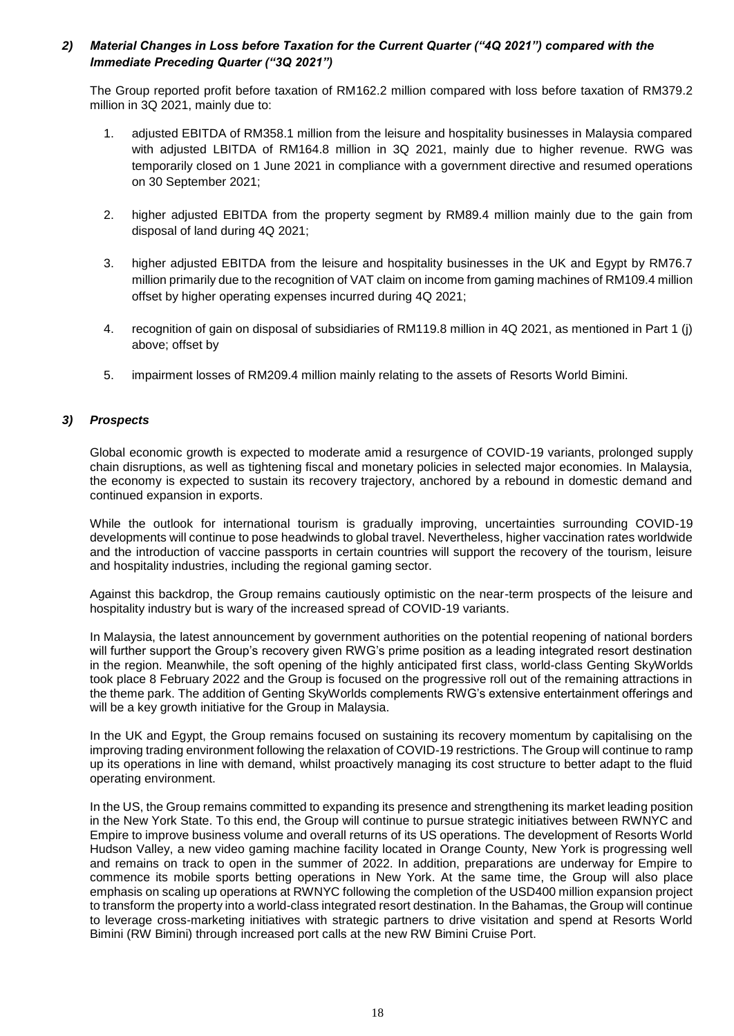# *2) Material Changes in Loss before Taxation for the Current Quarter ("4Q 2021") compared with the Immediate Preceding Quarter ("3Q 2021")*

The Group reported profit before taxation of RM162.2 million compared with loss before taxation of RM379.2 million in 3Q 2021, mainly due to:

- 1. adjusted EBITDA of RM358.1 million from the leisure and hospitality businesses in Malaysia compared with adjusted LBITDA of RM164.8 million in 3Q 2021, mainly due to higher revenue. RWG was temporarily closed on 1 June 2021 in compliance with a government directive and resumed operations on 30 September 2021;
- 2. higher adjusted EBITDA from the property segment by RM89.4 million mainly due to the gain from disposal of land during 4Q 2021;
- 3. higher adjusted EBITDA from the leisure and hospitality businesses in the UK and Egypt by RM76.7 million primarily due to the recognition of VAT claim on income from gaming machines of RM109.4 million offset by higher operating expenses incurred during 4Q 2021;
- 4. recognition of gain on disposal of subsidiaries of RM119.8 million in 4Q 2021, as mentioned in Part 1 (j) above; offset by
- 5. impairment losses of RM209.4 million mainly relating to the assets of Resorts World Bimini.

## *3) Prospects*

Global economic growth is expected to moderate amid a resurgence of COVID-19 variants, prolonged supply chain disruptions, as well as tightening fiscal and monetary policies in selected major economies. In Malaysia, the economy is expected to sustain its recovery trajectory, anchored by a rebound in domestic demand and continued expansion in exports.

While the outlook for international tourism is gradually improving, uncertainties surrounding COVID-19 developments will continue to pose headwinds to global travel. Nevertheless, higher vaccination rates worldwide and the introduction of vaccine passports in certain countries will support the recovery of the tourism, leisure and hospitality industries, including the regional gaming sector.

Against this backdrop, the Group remains cautiously optimistic on the near-term prospects of the leisure and hospitality industry but is wary of the increased spread of COVID-19 variants.

In Malaysia, the latest announcement by government authorities on the potential reopening of national borders will further support the Group's recovery given RWG's prime position as a leading integrated resort destination in the region. Meanwhile, the soft opening of the highly anticipated first class, world-class Genting SkyWorlds took place 8 February 2022 and the Group is focused on the progressive roll out of the remaining attractions in the theme park. The addition of Genting SkyWorlds complements RWG's extensive entertainment offerings and will be a key growth initiative for the Group in Malaysia.

In the UK and Egypt, the Group remains focused on sustaining its recovery momentum by capitalising on the improving trading environment following the relaxation of COVID-19 restrictions. The Group will continue to ramp up its operations in line with demand, whilst proactively managing its cost structure to better adapt to the fluid operating environment.

In the US, the Group remains committed to expanding its presence and strengthening its market leading position in the New York State. To this end, the Group will continue to pursue strategic initiatives between RWNYC and Empire to improve business volume and overall returns of its US operations. The development of Resorts World Hudson Valley, a new video gaming machine facility located in Orange County, New York is progressing well and remains on track to open in the summer of 2022. In addition, preparations are underway for Empire to commence its mobile sports betting operations in New York. At the same time, the Group will also place emphasis on scaling up operations at RWNYC following the completion of the USD400 million expansion project to transform the property into a world-class integrated resort destination. In the Bahamas, the Group will continue to leverage cross-marketing initiatives with strategic partners to drive visitation and spend at Resorts World Bimini (RW Bimini) through increased port calls at the new RW Bimini Cruise Port.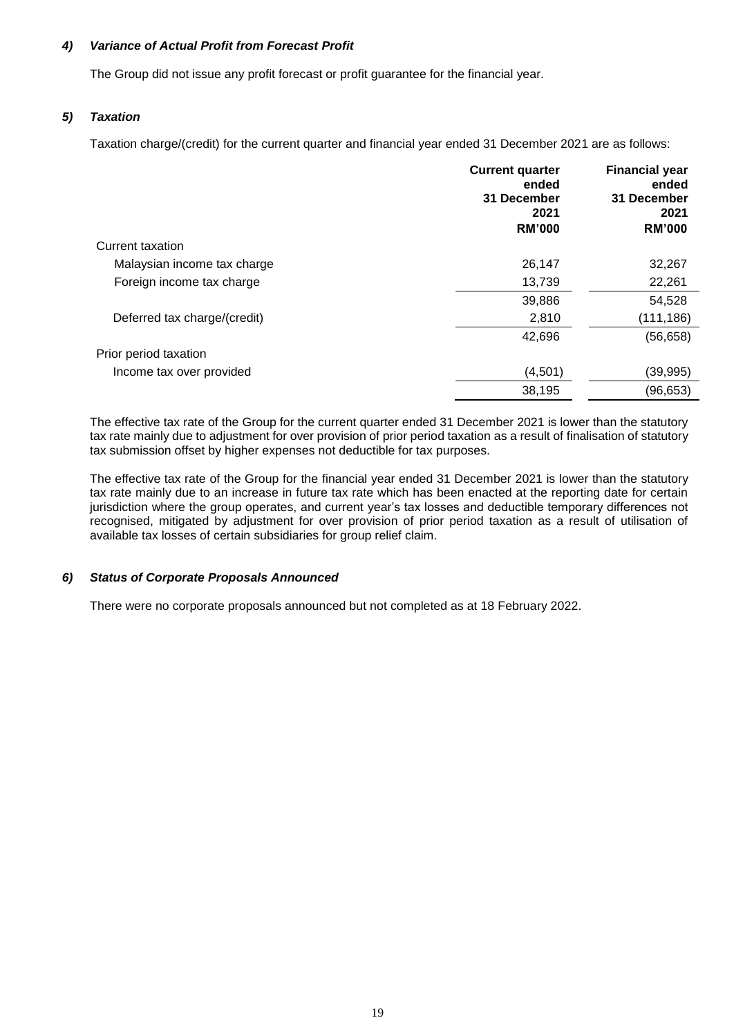# *4) Variance of Actual Profit from Forecast Profit*

The Group did not issue any profit forecast or profit guarantee for the financial year.

# *5) Taxation*

Taxation charge/(credit) for the current quarter and financial year ended 31 December 2021 are as follows:

|                              | <b>Current quarter</b><br>ended<br>31 December<br>2021<br><b>RM'000</b> | <b>Financial year</b><br>ended<br>31 December<br>2021<br><b>RM'000</b> |
|------------------------------|-------------------------------------------------------------------------|------------------------------------------------------------------------|
| Current taxation             |                                                                         |                                                                        |
| Malaysian income tax charge  | 26,147                                                                  | 32,267                                                                 |
| Foreign income tax charge    | 13,739                                                                  | 22,261                                                                 |
|                              | 39,886                                                                  | 54,528                                                                 |
| Deferred tax charge/(credit) | 2,810                                                                   | (111, 186)                                                             |
|                              | 42,696                                                                  | (56, 658)                                                              |
| Prior period taxation        |                                                                         |                                                                        |
| Income tax over provided     | (4,501)                                                                 | (39, 995)                                                              |
|                              | 38,195                                                                  | (96, 653)                                                              |

The effective tax rate of the Group for the current quarter ended 31 December 2021 is lower than the statutory tax rate mainly due to adjustment for over provision of prior period taxation as a result of finalisation of statutory tax submission offset by higher expenses not deductible for tax purposes.

The effective tax rate of the Group for the financial year ended 31 December 2021 is lower than the statutory tax rate mainly due to an increase in future tax rate which has been enacted at the reporting date for certain jurisdiction where the group operates, and current year's tax losses and deductible temporary differences not recognised, mitigated by adjustment for over provision of prior period taxation as a result of utilisation of available tax losses of certain subsidiaries for group relief claim.

# *6) Status of Corporate Proposals Announced*

There were no corporate proposals announced but not completed as at 18 February 2022.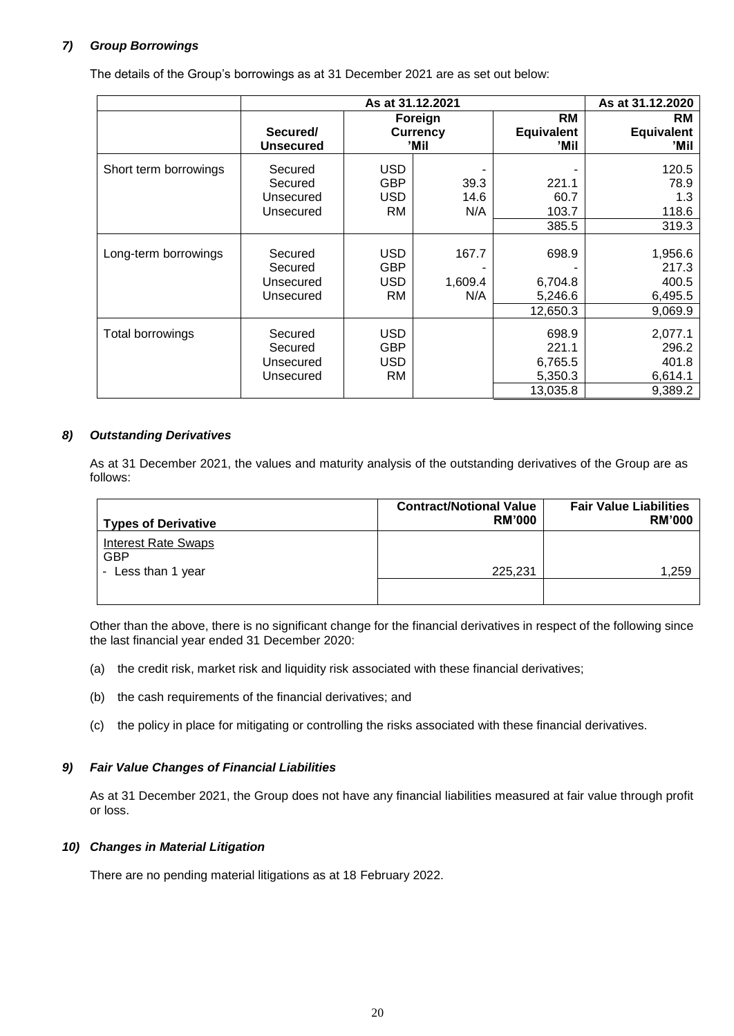# *7) Group Borrowings*

The details of the Group's borrowings as at 31 December 2021 are as set out below:

|                       | As at 31.12.2021 |            |                 |                   | As at 31.12.2020  |
|-----------------------|------------------|------------|-----------------|-------------------|-------------------|
|                       |                  | Foreign    |                 | RM                | RM                |
|                       | Secured/         |            | <b>Currency</b> | <b>Equivalent</b> | <b>Equivalent</b> |
|                       | <b>Unsecured</b> |            | 'Mil            | 'Mil              | 'Mil              |
| Short term borrowings | Secured          | <b>USD</b> |                 |                   | 120.5             |
|                       | Secured          | <b>GBP</b> | 39.3            | 221.1             | 78.9              |
|                       | Unsecured        | USD        | 14.6            | 60.7              | 1.3               |
|                       | Unsecured        | RM         | N/A             | 103.7             | 118.6             |
|                       |                  |            |                 | 385.5             | 319.3             |
|                       |                  |            |                 |                   |                   |
| Long-term borrowings  | Secured          | <b>USD</b> | 167.7           | 698.9             | 1,956.6           |
|                       | Secured          | <b>GBP</b> |                 |                   | 217.3             |
|                       | Unsecured        | USD.       | 1,609.4         | 6,704.8           | 400.5             |
|                       | Unsecured        | RM         | N/A             | 5,246.6           | 6,495.5           |
|                       |                  |            |                 | 12,650.3          | 9,069.9           |
| Total borrowings      | Secured          | USD.       |                 | 698.9             | 2,077.1           |
|                       | Secured          | <b>GBP</b> |                 | 221.1             | 296.2             |
|                       | Unsecured        | USD.       |                 | 6,765.5           | 401.8             |
|                       | Unsecured        | RM         |                 | 5,350.3           | 6,614.1           |
|                       |                  |            |                 |                   |                   |
|                       |                  |            |                 | 13,035.8          | 9,389.2           |

# *8) Outstanding Derivatives*

As at 31 December 2021, the values and maturity analysis of the outstanding derivatives of the Group are as follows:

| <b>Types of Derivative</b>               | <b>Contract/Notional Value</b><br><b>RM'000</b> | <b>Fair Value Liabilities</b><br><b>RM'000</b> |
|------------------------------------------|-------------------------------------------------|------------------------------------------------|
| <b>Interest Rate Swaps</b><br><b>GBP</b> |                                                 |                                                |
| - Less than 1 year                       | 225,231                                         | 1,259                                          |

Other than the above, there is no significant change for the financial derivatives in respect of the following since the last financial year ended 31 December 2020:

- (a) the credit risk, market risk and liquidity risk associated with these financial derivatives;
- (b) the cash requirements of the financial derivatives; and
- (c) the policy in place for mitigating or controlling the risks associated with these financial derivatives.

# *9) Fair Value Changes of Financial Liabilities*

As at 31 December 2021, the Group does not have any financial liabilities measured at fair value through profit or loss.

## *10) Changes in Material Litigation*

There are no pending material litigations as at 18 February 2022.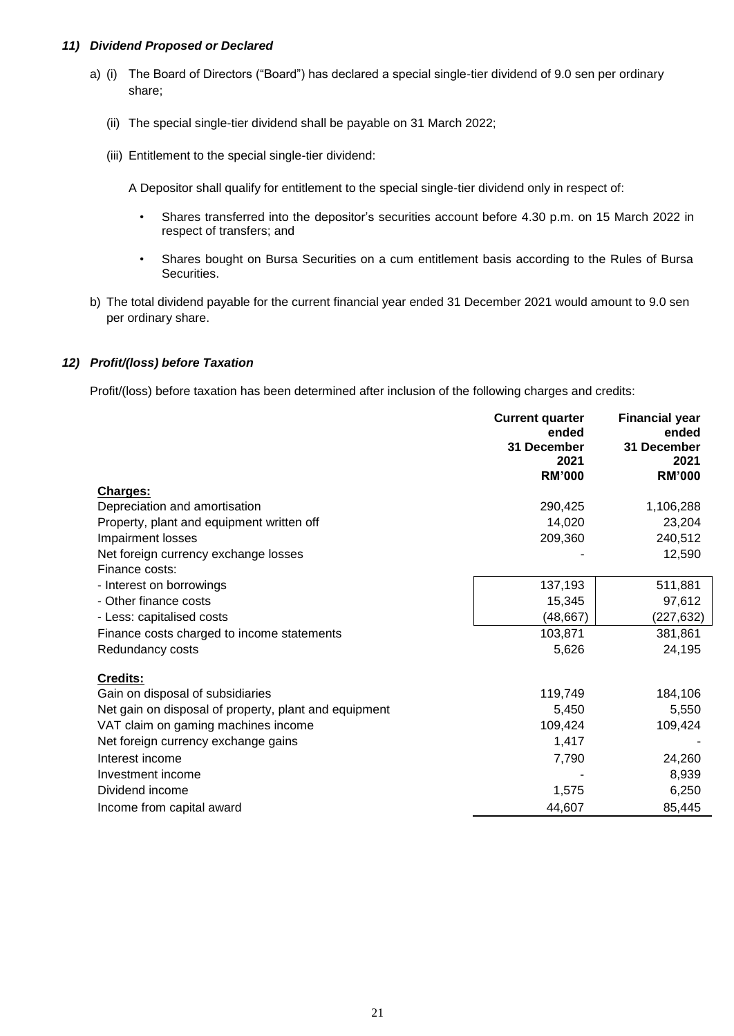## *11) Dividend Proposed or Declared*

- a) (i) The Board of Directors ("Board") has declared a special single-tier dividend of 9.0 sen per ordinary share;
	- (ii) The special single-tier dividend shall be payable on 31 March 2022;
	- (iii) Entitlement to the special single-tier dividend:

A Depositor shall qualify for entitlement to the special single-tier dividend only in respect of:

- Shares transferred into the depositor's securities account before 4.30 p.m. on 15 March 2022 in respect of transfers; and
- Shares bought on Bursa Securities on a cum entitlement basis according to the Rules of Bursa Securities.
- b) The total dividend payable for the current financial year ended 31 December 2021 would amount to 9.0 sen per ordinary share.

## *12) Profit/(loss) before Taxation*

Profit/(loss) before taxation has been determined after inclusion of the following charges and credits:

|                                                       | <b>Current quarter</b><br>ended<br>31 December<br>2021<br><b>RM'000</b> | <b>Financial year</b><br>ended<br>31 December<br>2021<br><b>RM'000</b> |
|-------------------------------------------------------|-------------------------------------------------------------------------|------------------------------------------------------------------------|
| Charges:                                              |                                                                         |                                                                        |
| Depreciation and amortisation                         | 290,425                                                                 | 1,106,288                                                              |
| Property, plant and equipment written off             | 14,020                                                                  | 23,204                                                                 |
| Impairment losses                                     | 209,360                                                                 | 240,512                                                                |
| Net foreign currency exchange losses                  |                                                                         | 12,590                                                                 |
| Finance costs:                                        |                                                                         |                                                                        |
| - Interest on borrowings                              | 137,193                                                                 | 511,881                                                                |
| - Other finance costs                                 | 15,345                                                                  | 97,612                                                                 |
| - Less: capitalised costs                             | (48, 667)                                                               | (227, 632)                                                             |
| Finance costs charged to income statements            | 103,871                                                                 | 381,861                                                                |
| Redundancy costs                                      | 5,626                                                                   | 24,195                                                                 |
| Credits:                                              |                                                                         |                                                                        |
| Gain on disposal of subsidiaries                      | 119,749                                                                 | 184,106                                                                |
| Net gain on disposal of property, plant and equipment | 5,450                                                                   | 5,550                                                                  |
| VAT claim on gaming machines income                   | 109,424                                                                 | 109,424                                                                |
| Net foreign currency exchange gains                   | 1,417                                                                   |                                                                        |
| Interest income                                       | 7,790                                                                   | 24,260                                                                 |
| Investment income                                     |                                                                         | 8,939                                                                  |
| Dividend income                                       | 1,575                                                                   | 6,250                                                                  |
| Income from capital award                             | 44,607                                                                  | 85,445                                                                 |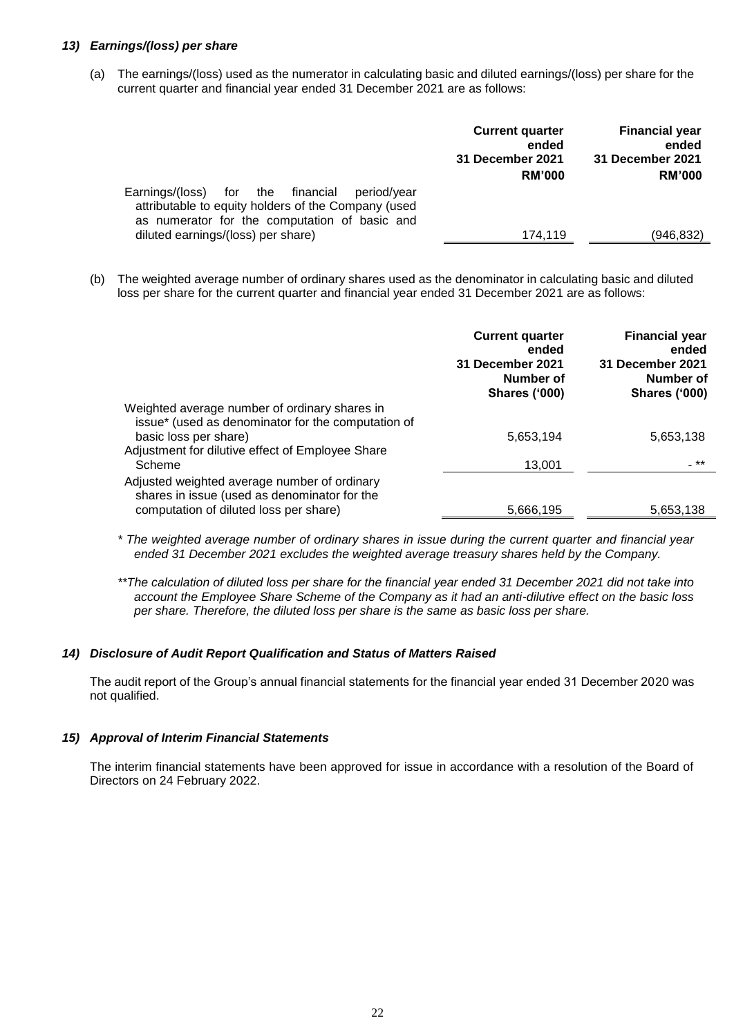## *13) Earnings/(loss) per share*

(a) The earnings/(loss) used as the numerator in calculating basic and diluted earnings/(loss) per share for the current quarter and financial year ended 31 December 2021 are as follows:

|                                                                                                                                                          | <b>Current quarter</b><br>ended | <b>Financial year</b><br>ended |
|----------------------------------------------------------------------------------------------------------------------------------------------------------|---------------------------------|--------------------------------|
|                                                                                                                                                          | 31 December 2021                | 31 December 2021               |
|                                                                                                                                                          | <b>RM'000</b>                   | <b>RM'000</b>                  |
| Earnings/(loss) for the financial<br>period/vear<br>attributable to equity holders of the Company (used<br>as numerator for the computation of basic and |                                 |                                |
| diluted earnings/(loss) per share)                                                                                                                       | 174,119                         | (946,832)                      |
|                                                                                                                                                          |                                 |                                |

(b) The weighted average number of ordinary shares used as the denominator in calculating basic and diluted loss per share for the current quarter and financial year ended 31 December 2021 are as follows:

|                                                                                                                                        | <b>Current quarter</b><br>ended<br>31 December 2021<br>Number of<br><b>Shares ('000)</b> | <b>Financial year</b><br>ended<br><b>31 December 2021</b><br>Number of<br><b>Shares ('000)</b> |
|----------------------------------------------------------------------------------------------------------------------------------------|------------------------------------------------------------------------------------------|------------------------------------------------------------------------------------------------|
| Weighted average number of ordinary shares in<br>issue* (used as denominator for the computation of                                    |                                                                                          |                                                                                                |
| basic loss per share)<br>Adjustment for dilutive effect of Employee Share                                                              | 5,653,194                                                                                | 5,653,138                                                                                      |
| Scheme                                                                                                                                 | 13,001                                                                                   | _**                                                                                            |
| Adjusted weighted average number of ordinary<br>shares in issue (used as denominator for the<br>computation of diluted loss per share) | 5,666,195                                                                                | 5,653,138                                                                                      |
|                                                                                                                                        |                                                                                          |                                                                                                |

- *\* The weighted average number of ordinary shares in issue during the current quarter and financial year ended 31 December 2021 excludes the weighted average treasury shares held by the Company.*
- *\*\*The calculation of diluted loss per share for the financial year ended 31 December 2021 did not take into account the Employee Share Scheme of the Company as it had an anti-dilutive effect on the basic loss per share. Therefore, the diluted loss per share is the same as basic loss per share.*

#### *14) Disclosure of Audit Report Qualification and Status of Matters Raised*

The audit report of the Group's annual financial statements for the financial year ended 31 December 2020 was not qualified.

#### *15) Approval of Interim Financial Statements*

The interim financial statements have been approved for issue in accordance with a resolution of the Board of Directors on 24 February 2022.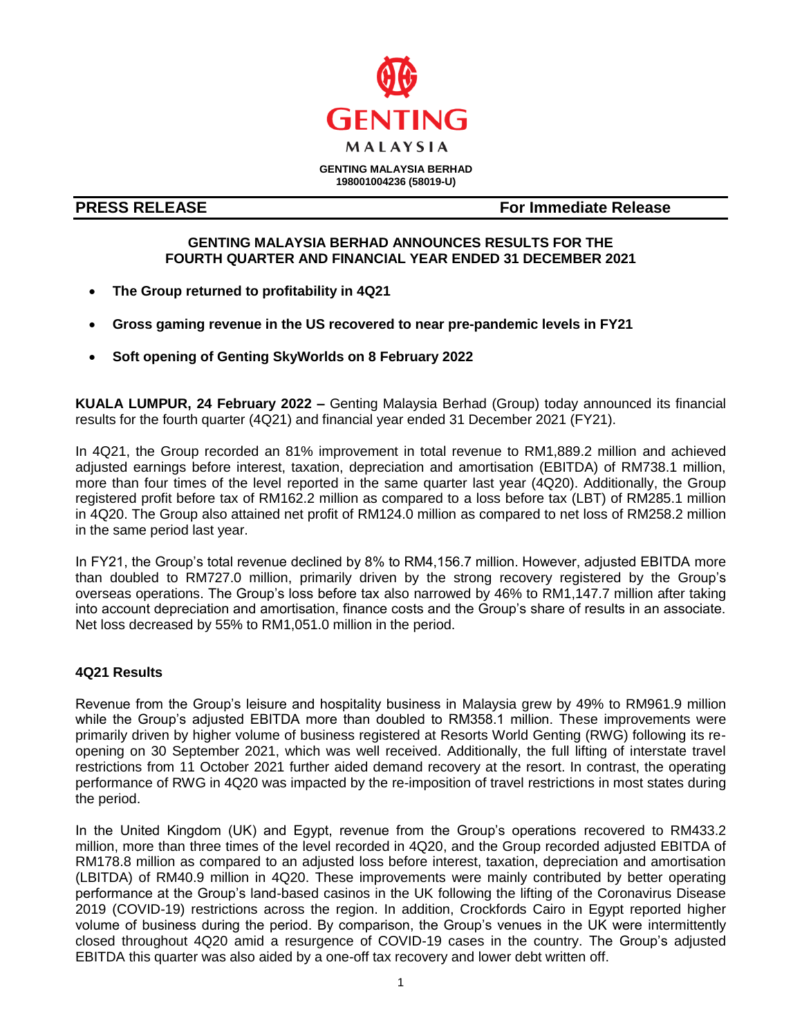

**GENTING MALAYSIA BERHAD 198001004236 (58019-U)**

**PRESS RELEASE For Immediate Release**

# **GENTING MALAYSIA BERHAD ANNOUNCES RESULTS FOR THE FOURTH QUARTER AND FINANCIAL YEAR ENDED 31 DECEMBER 2021**

- **The Group returned to profitability in 4Q21**
- **Gross gaming revenue in the US recovered to near pre-pandemic levels in FY21**
- **Soft opening of Genting SkyWorlds on 8 February 2022**

l

**KUALA LUMPUR, 24 February 2022 –** Genting Malaysia Berhad (Group) today announced its financial results for the fourth quarter (4Q21) and financial year ended 31 December 2021 (FY21).

In 4Q21, the Group recorded an 81% improvement in total revenue to RM1,889.2 million and achieved adjusted earnings before interest, taxation, depreciation and amortisation (EBITDA) of RM738.1 million, more than four times of the level reported in the same quarter last year (4Q20). Additionally, the Group registered profit before tax of RM162.2 million as compared to a loss before tax (LBT) of RM285.1 million in 4Q20. The Group also attained net profit of RM124.0 million as compared to net loss of RM258.2 million in the same period last year.

In FY21, the Group's total revenue declined by 8% to RM4,156.7 million. However, adjusted EBITDA more than doubled to RM727.0 million, primarily driven by the strong recovery registered by the Group's overseas operations. The Group's loss before tax also narrowed by 46% to RM1,147.7 million after taking into account depreciation and amortisation, finance costs and the Group's share of results in an associate. Net loss decreased by 55% to RM1,051.0 million in the period.

# **4Q21 Results**

Revenue from the Group's leisure and hospitality business in Malaysia grew by 49% to RM961.9 million while the Group's adjusted EBITDA more than doubled to RM358.1 million. These improvements were primarily driven by higher volume of business registered at Resorts World Genting (RWG) following its reopening on 30 September 2021, which was well received. Additionally, the full lifting of interstate travel restrictions from 11 October 2021 further aided demand recovery at the resort. In contrast, the operating performance of RWG in 4Q20 was impacted by the re-imposition of travel restrictions in most states during the period.

In the United Kingdom (UK) and Egypt, revenue from the Group's operations recovered to RM433.2 million, more than three times of the level recorded in 4Q20, and the Group recorded adjusted EBITDA of RM178.8 million as compared to an adjusted loss before interest, taxation, depreciation and amortisation (LBITDA) of RM40.9 million in 4Q20. These improvements were mainly contributed by better operating performance at the Group's land-based casinos in the UK following the lifting of the Coronavirus Disease 2019 (COVID-19) restrictions across the region. In addition, Crockfords Cairo in Egypt reported higher volume of business during the period. By comparison, the Group's venues in the UK were intermittently closed throughout 4Q20 amid a resurgence of COVID-19 cases in the country. The Group's adjusted EBITDA this quarter was also aided by a one-off tax recovery and lower debt written off.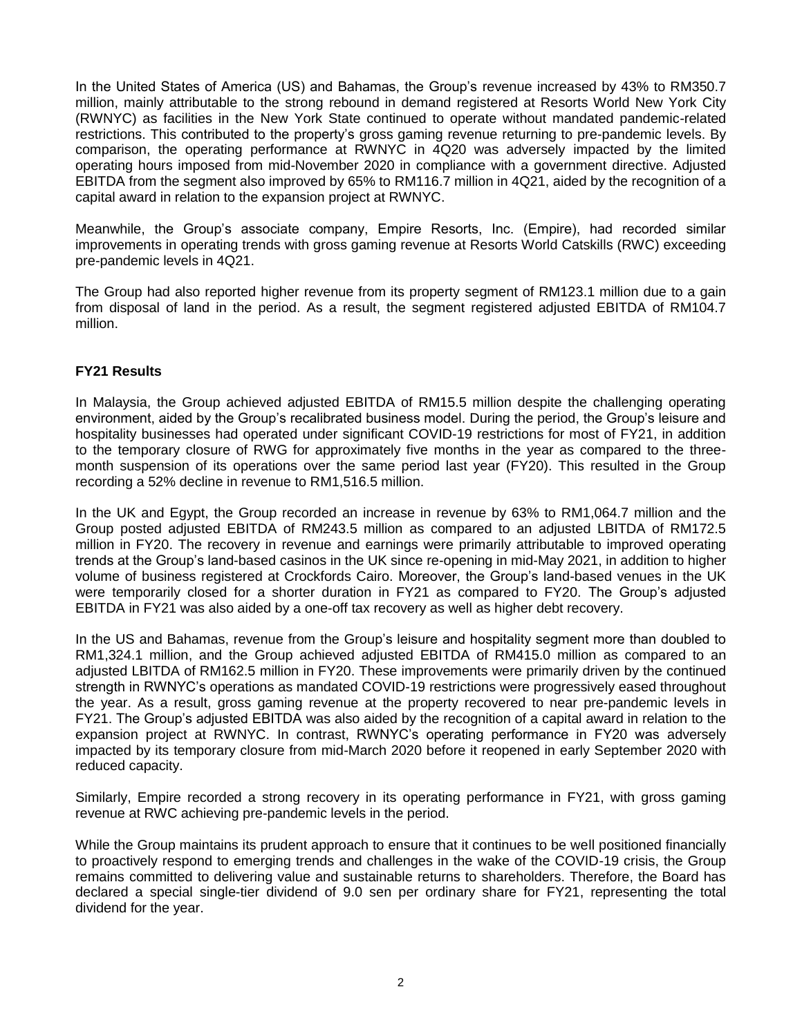In the United States of America (US) and Bahamas, the Group's revenue increased by 43% to RM350.7 million, mainly attributable to the strong rebound in demand registered at Resorts World New York City (RWNYC) as facilities in the New York State continued to operate without mandated pandemic-related restrictions. This contributed to the property's gross gaming revenue returning to pre-pandemic levels. By comparison, the operating performance at RWNYC in 4Q20 was adversely impacted by the limited operating hours imposed from mid-November 2020 in compliance with a government directive. Adjusted EBITDA from the segment also improved by 65% to RM116.7 million in 4Q21, aided by the recognition of a capital award in relation to the expansion project at RWNYC.

Meanwhile, the Group's associate company, Empire Resorts, Inc. (Empire), had recorded similar improvements in operating trends with gross gaming revenue at Resorts World Catskills (RWC) exceeding pre-pandemic levels in 4Q21.

The Group had also reported higher revenue from its property segment of RM123.1 million due to a gain from disposal of land in the period. As a result, the segment registered adjusted EBITDA of RM104.7 million.

# **FY21 Results**

In Malaysia, the Group achieved adjusted EBITDA of RM15.5 million despite the challenging operating environment, aided by the Group's recalibrated business model. During the period, the Group's leisure and hospitality businesses had operated under significant COVID-19 restrictions for most of FY21, in addition to the temporary closure of RWG for approximately five months in the year as compared to the threemonth suspension of its operations over the same period last year (FY20). This resulted in the Group recording a 52% decline in revenue to RM1,516.5 million.

In the UK and Egypt, the Group recorded an increase in revenue by 63% to RM1,064.7 million and the Group posted adjusted EBITDA of RM243.5 million as compared to an adjusted LBITDA of RM172.5 million in FY20. The recovery in revenue and earnings were primarily attributable to improved operating trends at the Group's land-based casinos in the UK since re-opening in mid-May 2021, in addition to higher volume of business registered at Crockfords Cairo. Moreover, the Group's land-based venues in the UK were temporarily closed for a shorter duration in FY21 as compared to FY20. The Group's adjusted EBITDA in FY21 was also aided by a one-off tax recovery as well as higher debt recovery.

In the US and Bahamas, revenue from the Group's leisure and hospitality segment more than doubled to RM1,324.1 million, and the Group achieved adjusted EBITDA of RM415.0 million as compared to an adjusted LBITDA of RM162.5 million in FY20. These improvements were primarily driven by the continued strength in RWNYC's operations as mandated COVID-19 restrictions were progressively eased throughout the year. As a result, gross gaming revenue at the property recovered to near pre-pandemic levels in FY21. The Group's adjusted EBITDA was also aided by the recognition of a capital award in relation to the expansion project at RWNYC. In contrast, RWNYC's operating performance in FY20 was adversely impacted by its temporary closure from mid-March 2020 before it reopened in early September 2020 with reduced capacity.

Similarly, Empire recorded a strong recovery in its operating performance in FY21, with gross gaming revenue at RWC achieving pre-pandemic levels in the period.

While the Group maintains its prudent approach to ensure that it continues to be well positioned financially to proactively respond to emerging trends and challenges in the wake of the COVID-19 crisis, the Group remains committed to delivering value and sustainable returns to shareholders. Therefore, the Board has declared a special single-tier dividend of 9.0 sen per ordinary share for FY21, representing the total dividend for the year.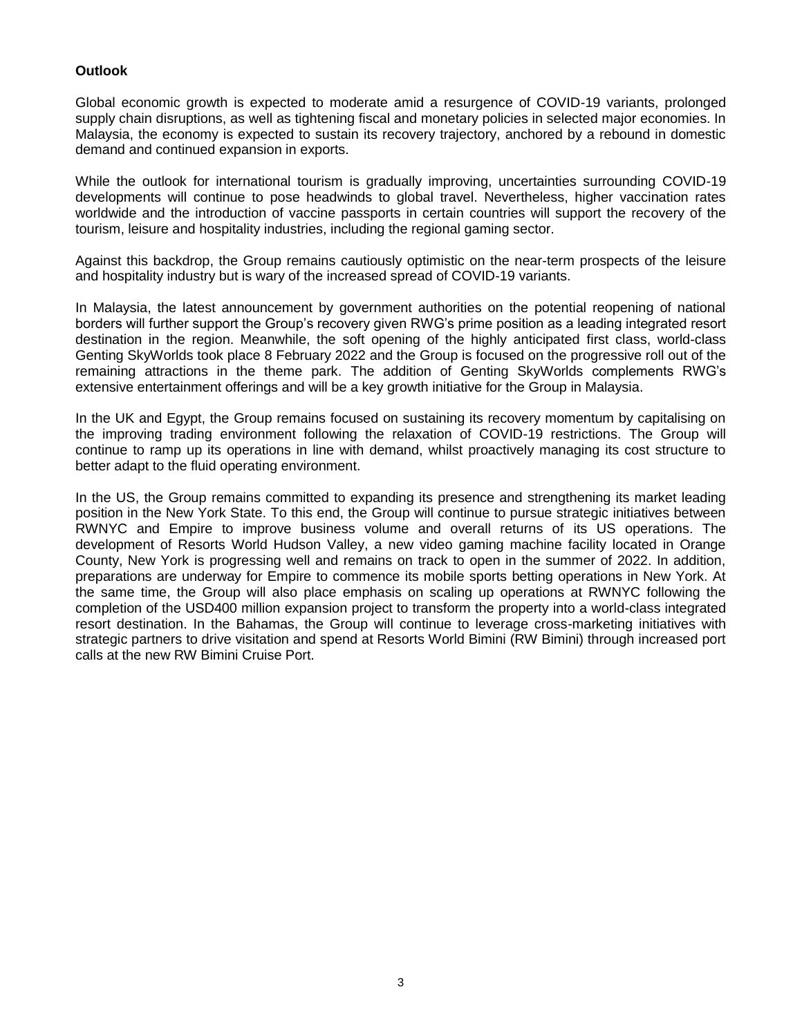# **Outlook**

Global economic growth is expected to moderate amid a resurgence of COVID-19 variants, prolonged supply chain disruptions, as well as tightening fiscal and monetary policies in selected major economies. In Malaysia, the economy is expected to sustain its recovery trajectory, anchored by a rebound in domestic demand and continued expansion in exports.

While the outlook for international tourism is gradually improving, uncertainties surrounding COVID-19 developments will continue to pose headwinds to global travel. Nevertheless, higher vaccination rates worldwide and the introduction of vaccine passports in certain countries will support the recovery of the tourism, leisure and hospitality industries, including the regional gaming sector.

Against this backdrop, the Group remains cautiously optimistic on the near-term prospects of the leisure and hospitality industry but is wary of the increased spread of COVID-19 variants.

In Malaysia, the latest announcement by government authorities on the potential reopening of national borders will further support the Group's recovery given RWG's prime position as a leading integrated resort destination in the region. Meanwhile, the soft opening of the highly anticipated first class, world-class Genting SkyWorlds took place 8 February 2022 and the Group is focused on the progressive roll out of the remaining attractions in the theme park. The addition of Genting SkyWorlds complements RWG's extensive entertainment offerings and will be a key growth initiative for the Group in Malaysia.

In the UK and Egypt, the Group remains focused on sustaining its recovery momentum by capitalising on the improving trading environment following the relaxation of COVID-19 restrictions. The Group will continue to ramp up its operations in line with demand, whilst proactively managing its cost structure to better adapt to the fluid operating environment.

In the US, the Group remains committed to expanding its presence and strengthening its market leading position in the New York State. To this end, the Group will continue to pursue strategic initiatives between RWNYC and Empire to improve business volume and overall returns of its US operations. The development of Resorts World Hudson Valley, a new video gaming machine facility located in Orange County, New York is progressing well and remains on track to open in the summer of 2022. In addition, preparations are underway for Empire to commence its mobile sports betting operations in New York. At the same time, the Group will also place emphasis on scaling up operations at RWNYC following the completion of the USD400 million expansion project to transform the property into a world-class integrated resort destination. In the Bahamas, the Group will continue to leverage cross-marketing initiatives with strategic partners to drive visitation and spend at Resorts World Bimini (RW Bimini) through increased port calls at the new RW Bimini Cruise Port.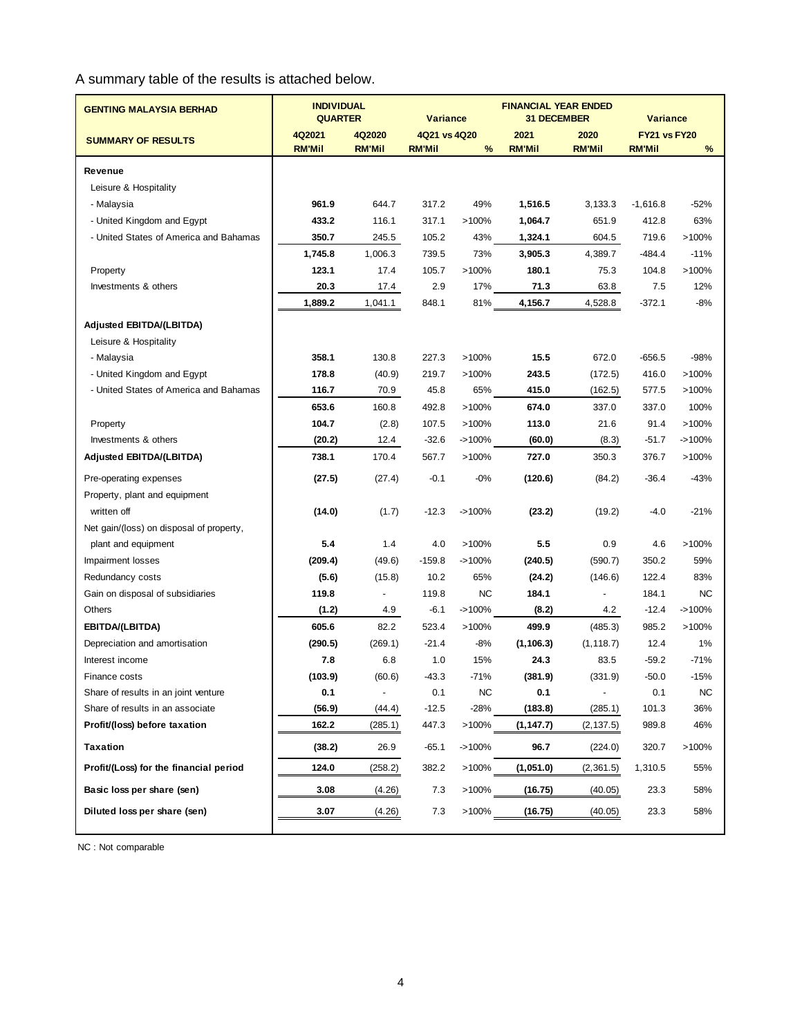A summary table of the results is attached below.

| <b>GENTING MALAYSIA BERHAD</b>           | <b>INDIVIDUAL</b><br><b>QUARTER</b> |                          | <b>Variance</b> |           | <b>FINANCIAL YEAR ENDED</b><br><b>31 DECEMBER</b> |                          | <b>Variance</b>     |           |
|------------------------------------------|-------------------------------------|--------------------------|-----------------|-----------|---------------------------------------------------|--------------------------|---------------------|-----------|
| <b>SUMMARY OF RESULTS</b>                | 4Q2021                              | 4Q2020                   | 4Q21 vs 4Q20    |           | 2021                                              | 2020                     | <b>FY21 vs FY20</b> |           |
|                                          | <b>RM'Mil</b>                       | <b>RM'Mil</b>            | <b>RM'Mil</b>   | %         | <b>RM'Mil</b>                                     | <b>RM'Mil</b>            | <b>RM'Mil</b>       | %         |
| Revenue                                  |                                     |                          |                 |           |                                                   |                          |                     |           |
| Leisure & Hospitality                    |                                     |                          |                 |           |                                                   |                          |                     |           |
| - Malaysia                               | 961.9                               | 644.7                    | 317.2           | 49%       | 1,516.5                                           | 3,133.3                  | $-1,616.8$          | $-52%$    |
| - United Kingdom and Egypt               | 433.2                               | 116.1                    | 317.1           | >100%     | 1,064.7                                           | 651.9                    | 412.8               | 63%       |
| - United States of America and Bahamas   | 350.7                               | 245.5                    | 105.2           | 43%       | 1,324.1                                           | 604.5                    | 719.6               | >100%     |
|                                          | 1,745.8                             | 1,006.3                  | 739.5           | 73%       | 3,905.3                                           | 4,389.7                  | $-484.4$            | $-11%$    |
| Property                                 | 123.1                               | 17.4                     | 105.7           | >100%     | 180.1                                             | 75.3                     | 104.8               | >100%     |
| Investments & others                     | 20.3                                | 17.4                     | 2.9             | 17%       | 71.3                                              | 63.8                     | 7.5                 | 12%       |
|                                          | 1,889.2                             | 1,041.1                  | 848.1           | 81%       | 4,156.7                                           | 4,528.8                  | $-372.1$            | $-8%$     |
| Adjusted EBITDA/(LBITDA)                 |                                     |                          |                 |           |                                                   |                          |                     |           |
| Leisure & Hospitality                    |                                     |                          |                 |           |                                                   |                          |                     |           |
| - Malaysia                               | 358.1                               | 130.8                    | 227.3           | >100%     | 15.5                                              | 672.0                    | $-656.5$            | $-98%$    |
| - United Kingdom and Egypt               | 178.8                               | (40.9)                   | 219.7           | $>100\%$  | 243.5                                             | (172.5)                  | 416.0               | >100%     |
| - United States of America and Bahamas   | 116.7                               | 70.9                     | 45.8            | 65%       | 415.0                                             | (162.5)                  | 577.5               | >100%     |
|                                          | 653.6                               | 160.8                    | 492.8           | >100%     | 674.0                                             | 337.0                    | 337.0               | 100%      |
| Property                                 | 104.7                               | (2.8)                    | 107.5           | >100%     | 113.0                                             | 21.6                     | 91.4                | >100%     |
| Investments & others                     | (20.2)                              | 12.4                     | $-32.6$         | $-2100%$  | (60.0)                                            | (8.3)                    | $-51.7$             | $-5100%$  |
| Adjusted EBITDA/(LBITDA)                 | 738.1                               | 170.4                    | 567.7           | $>100\%$  | 727.0                                             | 350.3                    | 376.7               | >100%     |
| Pre-operating expenses                   | (27.5)                              | (27.4)                   | $-0.1$          | $-0%$     | (120.6)                                           | (84.2)                   | $-36.4$             | $-43%$    |
| Property, plant and equipment            |                                     |                          |                 |           |                                                   |                          |                     |           |
| written off                              | (14.0)                              | (1.7)                    | $-12.3$         | $-5100%$  | (23.2)                                            | (19.2)                   | $-4.0$              | $-21%$    |
| Net gain/(loss) on disposal of property, |                                     |                          |                 |           |                                                   |                          |                     |           |
| plant and equipment                      | 5.4                                 | 1.4                      | 4.0             | >100%     | 5.5                                               | 0.9                      | 4.6                 | >100%     |
| Impairment losses                        | (209.4)                             | (49.6)                   | $-159.8$        | $-5100%$  | (240.5)                                           | (590.7)                  | 350.2               | 59%       |
| Redundancy costs                         | (5.6)                               | (15.8)                   | 10.2            | 65%       | (24.2)                                            | (146.6)                  | 122.4               | 83%       |
| Gain on disposal of subsidiaries         | 119.8                               | $\overline{\phantom{a}}$ | 119.8           | <b>NC</b> | 184.1                                             | $\blacksquare$           | 184.1               | <b>NC</b> |
| Others                                   | (1.2)                               | 4.9                      | $-6.1$          | ->100%    | (8.2)                                             | 4.2                      | $-12.4$             | $-5100%$  |
| EBITDA/(LBITDA)                          | 605.6                               | 82.2                     | 523.4           | >100%     | 499.9                                             | (485.3)                  | 985.2               | >100%     |
| Depreciation and amortisation            | (290.5)                             | (269.1)                  | $-21.4$         | $-8%$     | (1, 106.3)                                        | (1, 118.7)               | 12.4                | 1%        |
| Interest income                          | 7.8                                 | 6.8                      | 1.0             | 15%       | 24.3                                              | 83.5                     | $-59.2$             | $-71%$    |
| Finance costs                            | (103.9)                             | (60.6)                   | $-43.3$         | $-71%$    | (381.9)                                           | (331.9)                  | $-50.0$             | $-15%$    |
| Share of results in an joint venture     | 0.1                                 | $\overline{\phantom{a}}$ | 0.1             | <b>NC</b> | 0.1                                               | $\overline{\phantom{a}}$ | 0.1                 | <b>NC</b> |
| Share of results in an associate         | (56.9)                              | (44.4)                   | $-12.5$         | $-28%$    | (183.8)                                           | (285.1)                  | 101.3               | 36%       |
| Profit/(loss) before taxation            | 162.2                               | (285.1)                  | 447.3           | >100%     | (1, 147.7)                                        | (2, 137.5)               | 989.8               | 46%       |
| Taxation                                 | (38.2)                              | 26.9                     | $-65.1$         | $-$ >100% | 96.7                                              | (224.0)                  | 320.7               | >100%     |
| Profit/(Loss) for the financial period   | 124.0                               | (258.2)                  | 382.2           | >100%     | (1,051.0)                                         | (2,361.5)                | 1,310.5             | 55%       |
| Basic loss per share (sen)               | 3.08                                | (4.26)                   | 7.3             | >100%     | (16.75)                                           | (40.05)                  | 23.3                | 58%       |
| Diluted loss per share (sen)             | 3.07                                | (4.26)                   | 7.3             | >100%     | (16.75)                                           | (40.05)                  | 23.3                | 58%       |
|                                          |                                     |                          |                 |           |                                                   |                          |                     |           |

NC : Not comparable